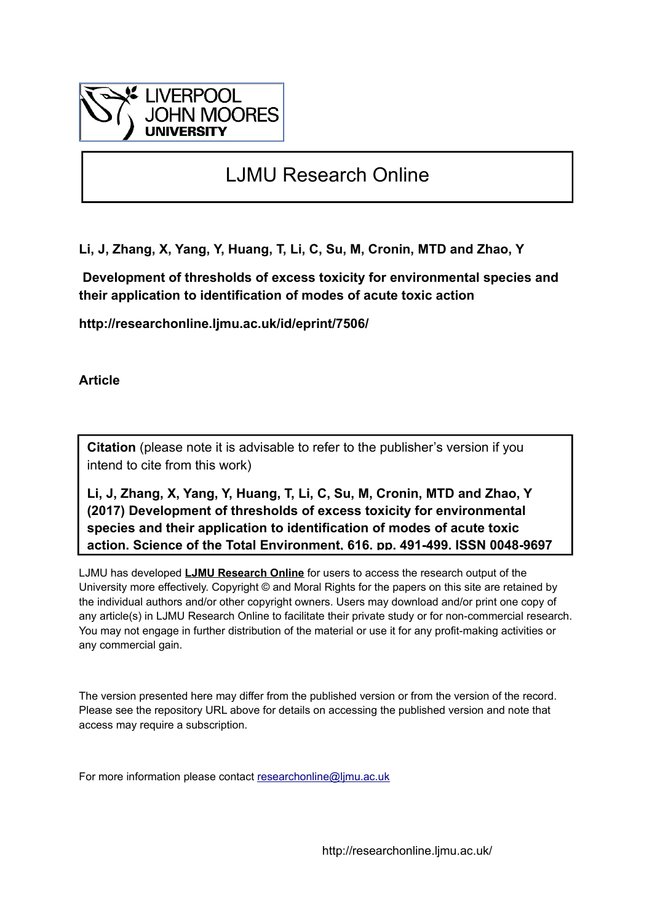

# LJMU Research Online

**Li, J, Zhang, X, Yang, Y, Huang, T, Li, C, Su, M, Cronin, MTD and Zhao, Y**

 **Development of thresholds of excess toxicity for environmental species and their application to identification of modes of acute toxic action**

**http://researchonline.ljmu.ac.uk/id/eprint/7506/**

**Article**

**Citation** (please note it is advisable to refer to the publisher's version if you intend to cite from this work)

**Li, J, Zhang, X, Yang, Y, Huang, T, Li, C, Su, M, Cronin, MTD and Zhao, Y (2017) Development of thresholds of excess toxicity for environmental species and their application to identification of modes of acute toxic action. Science of the Total Environment, 616. pp. 491-499. ISSN 0048-9697** 

LJMU has developed **[LJMU Research Online](http://researchonline.ljmu.ac.uk/)** for users to access the research output of the University more effectively. Copyright © and Moral Rights for the papers on this site are retained by the individual authors and/or other copyright owners. Users may download and/or print one copy of any article(s) in LJMU Research Online to facilitate their private study or for non-commercial research. You may not engage in further distribution of the material or use it for any profit-making activities or any commercial gain.

The version presented here may differ from the published version or from the version of the record. Please see the repository URL above for details on accessing the published version and note that access may require a subscription.

For more information please contact [researchonline@ljmu.ac.uk](mailto:researchonline@ljmu.ac.uk)

http://researchonline.ljmu.ac.uk/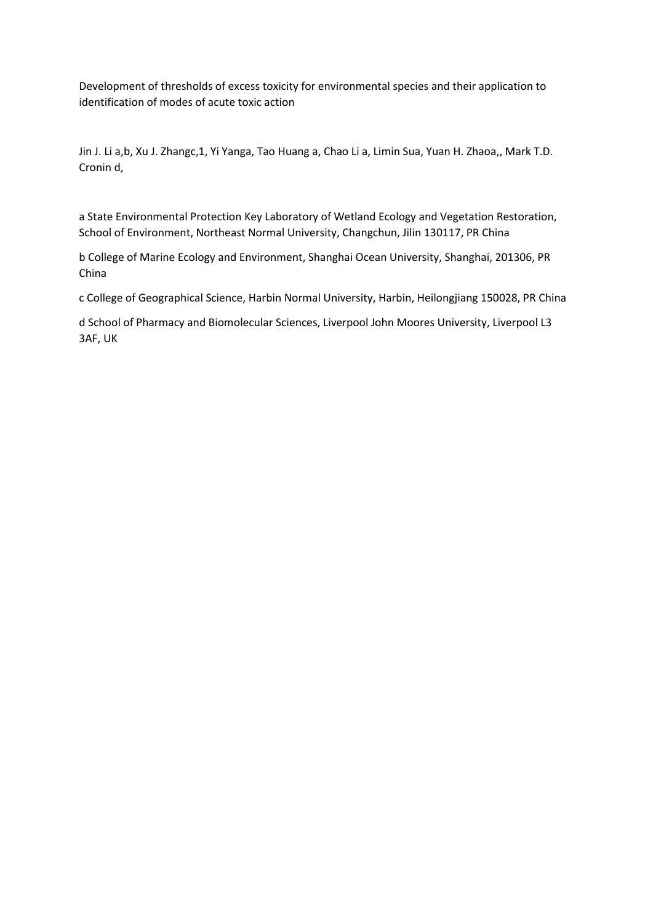Development of thresholds of excess toxicity for environmental species and their application to identification of modes of acute toxic action

Jin J. Li a,b, Xu J. Zhangc,1, Yi Yanga, Tao Huang a, Chao Li a, Limin Sua, Yuan H. Zhaoa,, Mark T.D. Cronin d,

a State Environmental Protection Key Laboratory of Wetland Ecology and Vegetation Restoration, School of Environment, Northeast Normal University, Changchun, Jilin 130117, PR China

b College of Marine Ecology and Environment, Shanghai Ocean University, Shanghai, 201306, PR China

c College of Geographical Science, Harbin Normal University, Harbin, Heilongjiang 150028, PR China

d School of Pharmacy and Biomolecular Sciences, Liverpool John Moores University, Liverpool L3 3AF, UK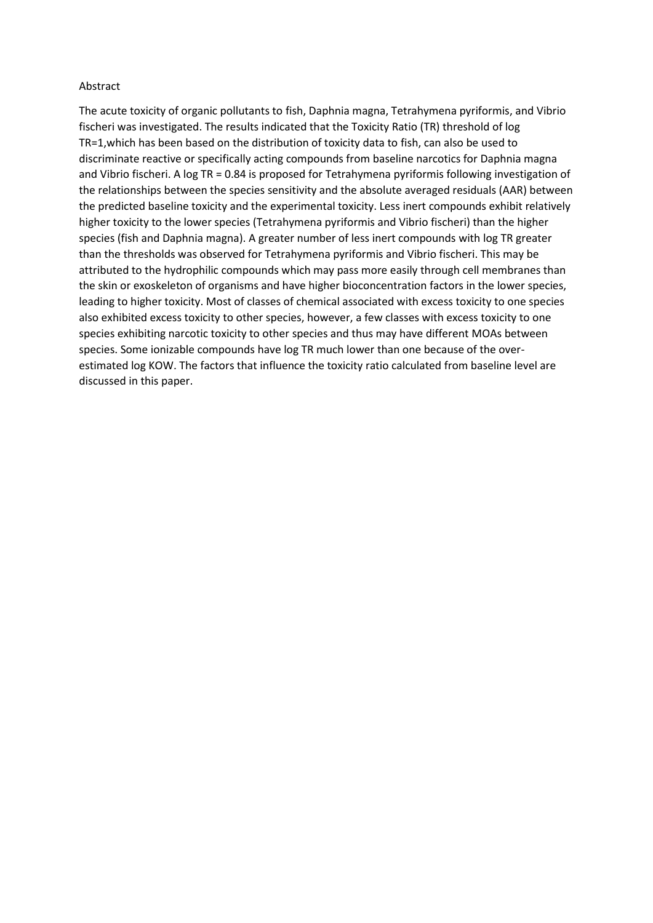#### Abstract

The acute toxicity of organic pollutants to fish, Daphnia magna, Tetrahymena pyriformis, and Vibrio fischeri was investigated. The results indicated that the Toxicity Ratio (TR) threshold of log TR=1,which has been based on the distribution of toxicity data to fish, can also be used to discriminate reactive or specifically acting compounds from baseline narcotics for Daphnia magna and Vibrio fischeri. A log TR = 0.84 is proposed for Tetrahymena pyriformis following investigation of the relationships between the species sensitivity and the absolute averaged residuals (AAR) between the predicted baseline toxicity and the experimental toxicity. Less inert compounds exhibit relatively higher toxicity to the lower species (Tetrahymena pyriformis and Vibrio fischeri) than the higher species (fish and Daphnia magna). A greater number of less inert compounds with log TR greater than the thresholds was observed for Tetrahymena pyriformis and Vibrio fischeri. This may be attributed to the hydrophilic compounds which may pass more easily through cell membranes than the skin or exoskeleton of organisms and have higher bioconcentration factors in the lower species, leading to higher toxicity. Most of classes of chemical associated with excess toxicity to one species also exhibited excess toxicity to other species, however, a few classes with excess toxicity to one species exhibiting narcotic toxicity to other species and thus may have different MOAs between species. Some ionizable compounds have log TR much lower than one because of the overestimated log KOW. The factors that influence the toxicity ratio calculated from baseline level are discussed in this paper.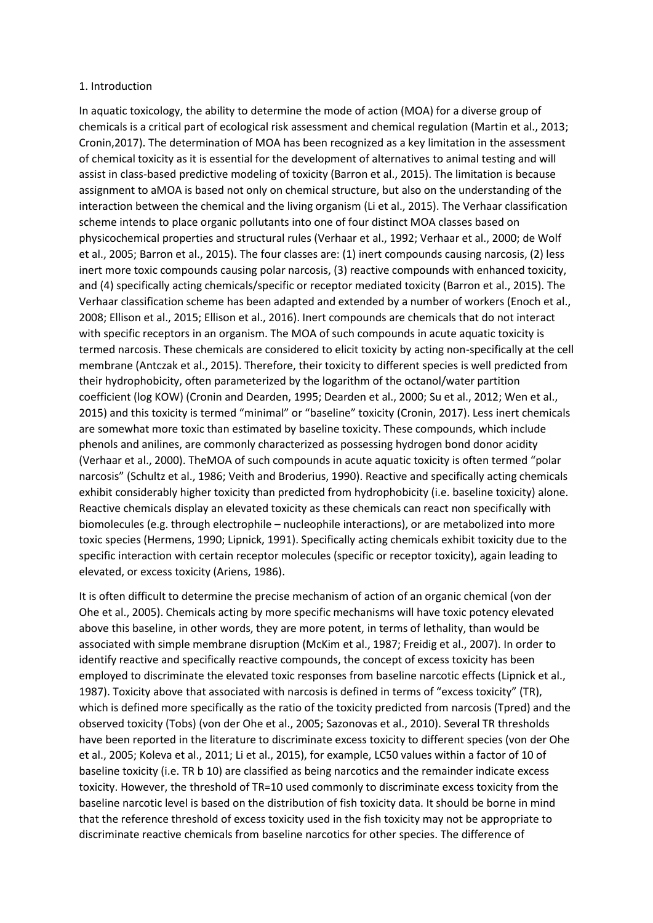#### 1. Introduction

In aquatic toxicology, the ability to determine the mode of action (MOA) for a diverse group of chemicals is a critical part of ecological risk assessment and chemical regulation (Martin et al., 2013; Cronin,2017). The determination of MOA has been recognized as a key limitation in the assessment of chemical toxicity as it is essential for the development of alternatives to animal testing and will assist in class-based predictive modeling of toxicity (Barron et al., 2015). The limitation is because assignment to aMOA is based not only on chemical structure, but also on the understanding of the interaction between the chemical and the living organism (Li et al., 2015). The Verhaar classification scheme intends to place organic pollutants into one of four distinct MOA classes based on physicochemical properties and structural rules (Verhaar et al., 1992; Verhaar et al., 2000; de Wolf et al., 2005; Barron et al., 2015). The four classes are: (1) inert compounds causing narcosis, (2) less inert more toxic compounds causing polar narcosis, (3) reactive compounds with enhanced toxicity, and (4) specifically acting chemicals/specific or receptor mediated toxicity (Barron et al., 2015). The Verhaar classification scheme has been adapted and extended by a number of workers (Enoch et al., 2008; Ellison et al., 2015; Ellison et al., 2016). Inert compounds are chemicals that do not interact with specific receptors in an organism. The MOA of such compounds in acute aquatic toxicity is termed narcosis. These chemicals are considered to elicit toxicity by acting non-specifically at the cell membrane (Antczak et al., 2015). Therefore, their toxicity to different species is well predicted from their hydrophobicity, often parameterized by the logarithm of the octanol/water partition coefficient (log KOW) (Cronin and Dearden, 1995; Dearden et al., 2000; Su et al., 2012; Wen et al., 2015) and this toxicity is termed "minimal" or "baseline" toxicity (Cronin, 2017). Less inert chemicals are somewhat more toxic than estimated by baseline toxicity. These compounds, which include phenols and anilines, are commonly characterized as possessing hydrogen bond donor acidity (Verhaar et al., 2000). TheMOA of such compounds in acute aquatic toxicity is often termed "polar narcosis" (Schultz et al., 1986; Veith and Broderius, 1990). Reactive and specifically acting chemicals exhibit considerably higher toxicity than predicted from hydrophobicity (i.e. baseline toxicity) alone. Reactive chemicals display an elevated toxicity as these chemicals can react non specifically with biomolecules (e.g. through electrophile – nucleophile interactions), or are metabolized into more toxic species (Hermens, 1990; Lipnick, 1991). Specifically acting chemicals exhibit toxicity due to the specific interaction with certain receptor molecules (specific or receptor toxicity), again leading to elevated, or excess toxicity (Ariens, 1986).

It is often difficult to determine the precise mechanism of action of an organic chemical (von der Ohe et al., 2005). Chemicals acting by more specific mechanisms will have toxic potency elevated above this baseline, in other words, they are more potent, in terms of lethality, than would be associated with simple membrane disruption (McKim et al., 1987; Freidig et al., 2007). In order to identify reactive and specifically reactive compounds, the concept of excess toxicity has been employed to discriminate the elevated toxic responses from baseline narcotic effects (Lipnick et al., 1987). Toxicity above that associated with narcosis is defined in terms of "excess toxicity" (TR), which is defined more specifically as the ratio of the toxicity predicted from narcosis (Tpred) and the observed toxicity (Tobs) (von der Ohe et al., 2005; Sazonovas et al., 2010). Several TR thresholds have been reported in the literature to discriminate excess toxicity to different species (von der Ohe et al., 2005; Koleva et al., 2011; Li et al., 2015), for example, LC50 values within a factor of 10 of baseline toxicity (i.e. TR b 10) are classified as being narcotics and the remainder indicate excess toxicity. However, the threshold of TR=10 used commonly to discriminate excess toxicity from the baseline narcotic level is based on the distribution of fish toxicity data. It should be borne in mind that the reference threshold of excess toxicity used in the fish toxicity may not be appropriate to discriminate reactive chemicals from baseline narcotics for other species. The difference of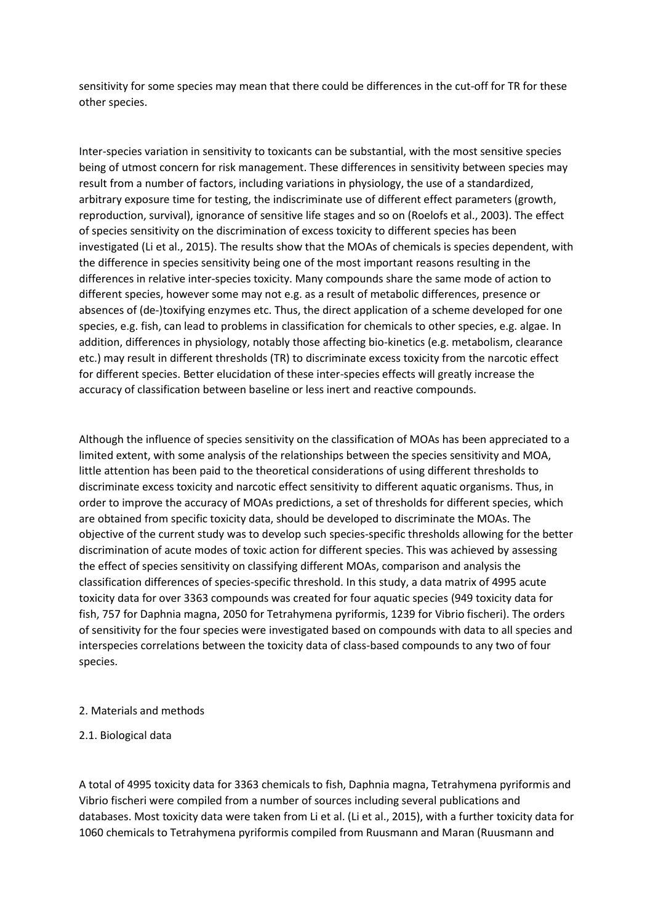sensitivity for some species may mean that there could be differences in the cut-off for TR for these other species.

Inter-species variation in sensitivity to toxicants can be substantial, with the most sensitive species being of utmost concern for risk management. These differences in sensitivity between species may result from a number of factors, including variations in physiology, the use of a standardized, arbitrary exposure time for testing, the indiscriminate use of different effect parameters (growth, reproduction, survival), ignorance of sensitive life stages and so on (Roelofs et al., 2003). The effect of species sensitivity on the discrimination of excess toxicity to different species has been investigated (Li et al., 2015). The results show that the MOAs of chemicals is species dependent, with the difference in species sensitivity being one of the most important reasons resulting in the differences in relative inter-species toxicity. Many compounds share the same mode of action to different species, however some may not e.g. as a result of metabolic differences, presence or absences of (de-)toxifying enzymes etc. Thus, the direct application of a scheme developed for one species, e.g. fish, can lead to problems in classification for chemicals to other species, e.g. algae. In addition, differences in physiology, notably those affecting bio-kinetics (e.g. metabolism, clearance etc.) may result in different thresholds (TR) to discriminate excess toxicity from the narcotic effect for different species. Better elucidation of these inter-species effects will greatly increase the accuracy of classification between baseline or less inert and reactive compounds.

Although the influence of species sensitivity on the classification of MOAs has been appreciated to a limited extent, with some analysis of the relationships between the species sensitivity and MOA, little attention has been paid to the theoretical considerations of using different thresholds to discriminate excess toxicity and narcotic effect sensitivity to different aquatic organisms. Thus, in order to improve the accuracy of MOAs predictions, a set of thresholds for different species, which are obtained from specific toxicity data, should be developed to discriminate the MOAs. The objective of the current study was to develop such species-specific thresholds allowing for the better discrimination of acute modes of toxic action for different species. This was achieved by assessing the effect of species sensitivity on classifying different MOAs, comparison and analysis the classification differences of species-specific threshold. In this study, a data matrix of 4995 acute toxicity data for over 3363 compounds was created for four aquatic species (949 toxicity data for fish, 757 for Daphnia magna, 2050 for Tetrahymena pyriformis, 1239 for Vibrio fischeri). The orders of sensitivity for the four species were investigated based on compounds with data to all species and interspecies correlations between the toxicity data of class-based compounds to any two of four species.

#### 2. Materials and methods

# 2.1. Biological data

A total of 4995 toxicity data for 3363 chemicals to fish, Daphnia magna, Tetrahymena pyriformis and Vibrio fischeri were compiled from a number of sources including several publications and databases. Most toxicity data were taken from Li et al. (Li et al., 2015), with a further toxicity data for 1060 chemicals to Tetrahymena pyriformis compiled from Ruusmann and Maran (Ruusmann and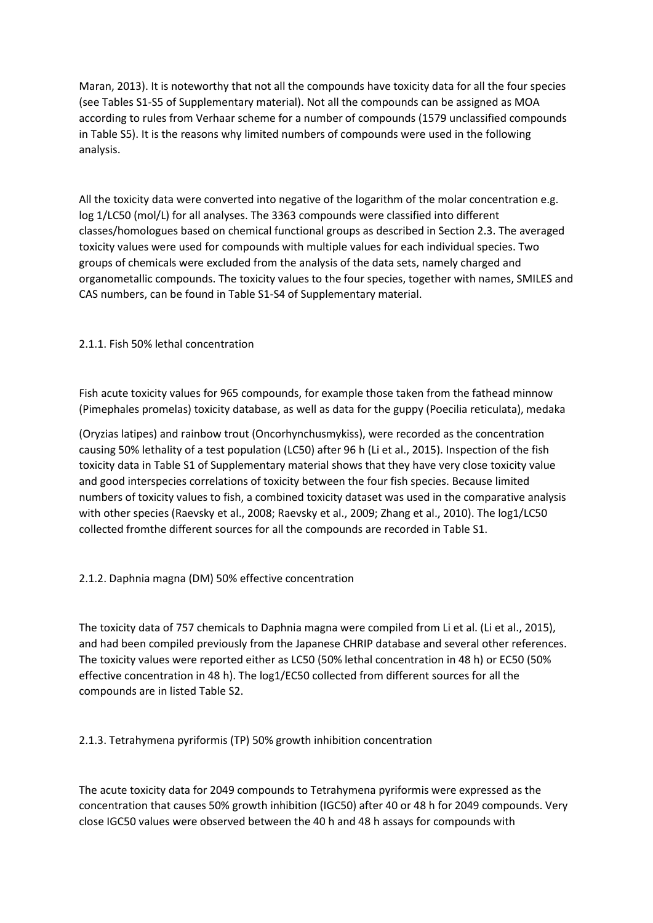Maran, 2013). It is noteworthy that not all the compounds have toxicity data for all the four species (see Tables S1-S5 of Supplementary material). Not all the compounds can be assigned as MOA according to rules from Verhaar scheme for a number of compounds (1579 unclassified compounds in Table S5). It is the reasons why limited numbers of compounds were used in the following analysis.

All the toxicity data were converted into negative of the logarithm of the molar concentration e.g. log 1/LC50 (mol/L) for all analyses. The 3363 compounds were classified into different classes/homologues based on chemical functional groups as described in Section 2.3. The averaged toxicity values were used for compounds with multiple values for each individual species. Two groups of chemicals were excluded from the analysis of the data sets, namely charged and organometallic compounds. The toxicity values to the four species, together with names, SMILES and CAS numbers, can be found in Table S1-S4 of Supplementary material.

# 2.1.1. Fish 50% lethal concentration

Fish acute toxicity values for 965 compounds, for example those taken from the fathead minnow (Pimephales promelas) toxicity database, as well as data for the guppy (Poecilia reticulata), medaka

(Oryzias latipes) and rainbow trout (Oncorhynchusmykiss), were recorded as the concentration causing 50% lethality of a test population (LC50) after 96 h (Li et al., 2015). Inspection of the fish toxicity data in Table S1 of Supplementary material shows that they have very close toxicity value and good interspecies correlations of toxicity between the four fish species. Because limited numbers of toxicity values to fish, a combined toxicity dataset was used in the comparative analysis with other species (Raevsky et al., 2008; Raevsky et al., 2009; Zhang et al., 2010). The log1/LC50 collected fromthe different sources for all the compounds are recorded in Table S1.

# 2.1.2. Daphnia magna (DM) 50% effective concentration

The toxicity data of 757 chemicals to Daphnia magna were compiled from Li et al. (Li et al., 2015), and had been compiled previously from the Japanese CHRIP database and several other references. The toxicity values were reported either as LC50 (50% lethal concentration in 48 h) or EC50 (50% effective concentration in 48 h). The log1/EC50 collected from different sources for all the compounds are in listed Table S2.

2.1.3. Tetrahymena pyriformis (TP) 50% growth inhibition concentration

The acute toxicity data for 2049 compounds to Tetrahymena pyriformis were expressed as the concentration that causes 50% growth inhibition (IGC50) after 40 or 48 h for 2049 compounds. Very close IGC50 values were observed between the 40 h and 48 h assays for compounds with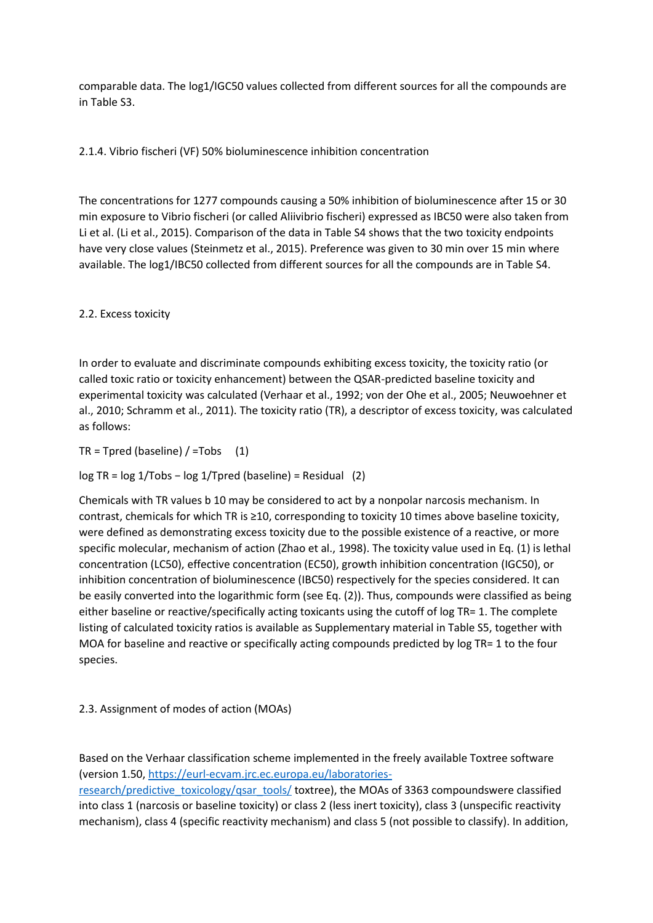comparable data. The log1/IGC50 values collected from different sources for all the compounds are in Table S3.

2.1.4. Vibrio fischeri (VF) 50% bioluminescence inhibition concentration

The concentrations for 1277 compounds causing a 50% inhibition of bioluminescence after 15 or 30 min exposure to Vibrio fischeri (or called Aliivibrio fischeri) expressed as IBC50 were also taken from Li et al. (Li et al., 2015). Comparison of the data in Table S4 shows that the two toxicity endpoints have very close values (Steinmetz et al., 2015). Preference was given to 30 min over 15 min where available. The log1/IBC50 collected from different sources for all the compounds are in Table S4.

2.2. Excess toxicity

In order to evaluate and discriminate compounds exhibiting excess toxicity, the toxicity ratio (or called toxic ratio or toxicity enhancement) between the QSAR-predicted baseline toxicity and experimental toxicity was calculated (Verhaar et al., 1992; von der Ohe et al., 2005; Neuwoehner et al., 2010; Schramm et al., 2011). The toxicity ratio (TR), a descriptor of excess toxicity, was calculated as follows:

 $TR = Tpred (baseline) / =Tobs$  (1)

log TR = log 1/Tobs − log 1/Tpred (baseline) = Residual (2)

Chemicals with TR values b 10 may be considered to act by a nonpolar narcosis mechanism. In contrast, chemicals for which TR is ≥10, corresponding to toxicity 10 times above baseline toxicity, were defined as demonstrating excess toxicity due to the possible existence of a reactive, or more specific molecular, mechanism of action (Zhao et al., 1998). The toxicity value used in Eq. (1) is lethal concentration (LC50), effective concentration (EC50), growth inhibition concentration (IGC50), or inhibition concentration of bioluminescence (IBC50) respectively for the species considered. It can be easily converted into the logarithmic form (see Eq. (2)). Thus, compounds were classified as being either baseline or reactive/specifically acting toxicants using the cutoff of log TR= 1. The complete listing of calculated toxicity ratios is available as Supplementary material in Table S5, together with MOA for baseline and reactive or specifically acting compounds predicted by log TR= 1 to the four species.

2.3. Assignment of modes of action (MOAs)

Based on the Verhaar classification scheme implemented in the freely available Toxtree software (version 1.50, [https://eurl-ecvam.jrc.ec.europa.eu/laboratories](https://eurl-ecvam.jrc.ec.europa.eu/laboratories-research/predictive_toxicology/qsar_tools/)research/predictive\_toxicology/gsar\_tools/ toxtree), the MOAs of 3363 compoundswere classified into class 1 (narcosis or baseline toxicity) or class 2 (less inert toxicity), class 3 (unspecific reactivity mechanism), class 4 (specific reactivity mechanism) and class 5 (not possible to classify). In addition,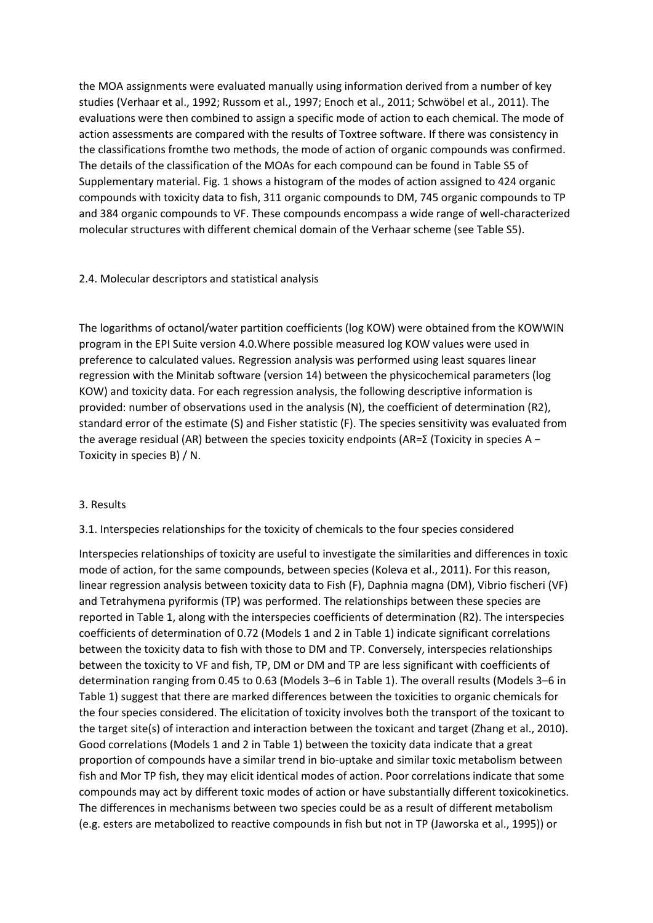the MOA assignments were evaluated manually using information derived from a number of key studies (Verhaar et al., 1992; Russom et al., 1997; Enoch et al., 2011; Schwöbel et al., 2011). The evaluations were then combined to assign a specific mode of action to each chemical. The mode of action assessments are compared with the results of Toxtree software. If there was consistency in the classifications fromthe two methods, the mode of action of organic compounds was confirmed. The details of the classification of the MOAs for each compound can be found in Table S5 of Supplementary material. Fig. 1 shows a histogram of the modes of action assigned to 424 organic compounds with toxicity data to fish, 311 organic compounds to DM, 745 organic compounds to TP and 384 organic compounds to VF. These compounds encompass a wide range of well-characterized molecular structures with different chemical domain of the Verhaar scheme (see Table S5).

# 2.4. Molecular descriptors and statistical analysis

The logarithms of octanol/water partition coefficients (log KOW) were obtained from the KOWWIN program in the EPI Suite version 4.0.Where possible measured log KOW values were used in preference to calculated values. Regression analysis was performed using least squares linear regression with the Minitab software (version 14) between the physicochemical parameters (log KOW) and toxicity data. For each regression analysis, the following descriptive information is provided: number of observations used in the analysis (N), the coefficient of determination (R2), standard error of the estimate (S) and Fisher statistic (F). The species sensitivity was evaluated from the average residual (AR) between the species toxicity endpoints (AR=Σ (Toxicity in species A – Toxicity in species B) / N.

# 3. Results

# 3.1. Interspecies relationships for the toxicity of chemicals to the four species considered

Interspecies relationships of toxicity are useful to investigate the similarities and differences in toxic mode of action, for the same compounds, between species (Koleva et al., 2011). For this reason, linear regression analysis between toxicity data to Fish (F), Daphnia magna (DM), Vibrio fischeri (VF) and Tetrahymena pyriformis (TP) was performed. The relationships between these species are reported in Table 1, along with the interspecies coefficients of determination (R2). The interspecies coefficients of determination of 0.72 (Models 1 and 2 in Table 1) indicate significant correlations between the toxicity data to fish with those to DM and TP. Conversely, interspecies relationships between the toxicity to VF and fish, TP, DM or DM and TP are less significant with coefficients of determination ranging from 0.45 to 0.63 (Models 3–6 in Table 1). The overall results (Models 3–6 in Table 1) suggest that there are marked differences between the toxicities to organic chemicals for the four species considered. The elicitation of toxicity involves both the transport of the toxicant to the target site(s) of interaction and interaction between the toxicant and target (Zhang et al., 2010). Good correlations (Models 1 and 2 in Table 1) between the toxicity data indicate that a great proportion of compounds have a similar trend in bio-uptake and similar toxic metabolism between fish and Mor TP fish, they may elicit identical modes of action. Poor correlations indicate that some compounds may act by different toxic modes of action or have substantially different toxicokinetics. The differences in mechanisms between two species could be as a result of different metabolism (e.g. esters are metabolized to reactive compounds in fish but not in TP (Jaworska et al., 1995)) or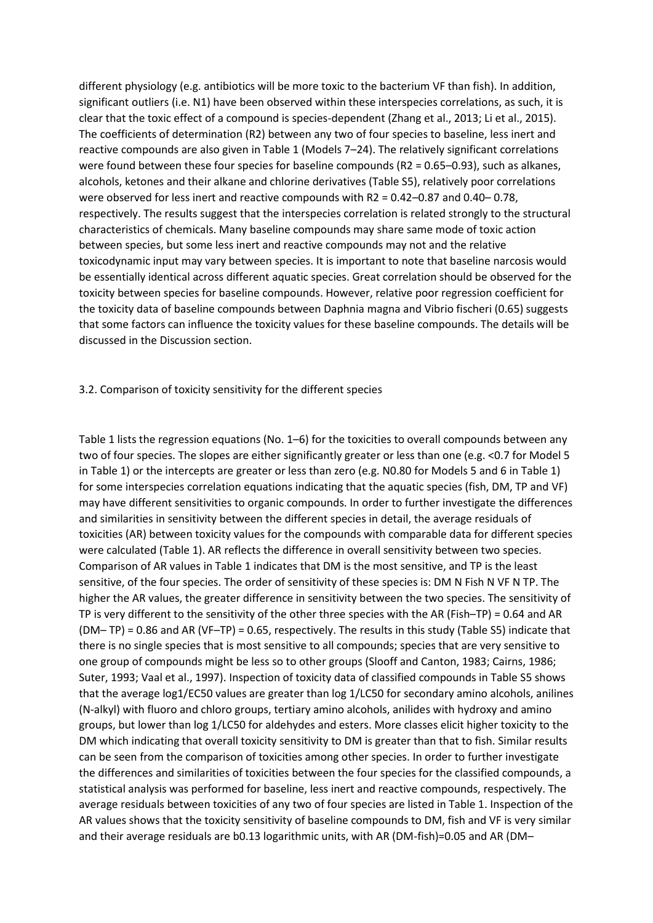different physiology (e.g. antibiotics will be more toxic to the bacterium VF than fish). In addition, significant outliers (i.e. N1) have been observed within these interspecies correlations, as such, it is clear that the toxic effect of a compound is species-dependent (Zhang et al., 2013; Li et al., 2015). The coefficients of determination (R2) between any two of four species to baseline, less inert and reactive compounds are also given in Table 1 (Models 7–24). The relatively significant correlations were found between these four species for baseline compounds (R2 = 0.65–0.93), such as alkanes, alcohols, ketones and their alkane and chlorine derivatives (Table S5), relatively poor correlations were observed for less inert and reactive compounds with R2 = 0.42–0.87 and 0.40– 0.78, respectively. The results suggest that the interspecies correlation is related strongly to the structural characteristics of chemicals. Many baseline compounds may share same mode of toxic action between species, but some less inert and reactive compounds may not and the relative toxicodynamic input may vary between species. It is important to note that baseline narcosis would be essentially identical across different aquatic species. Great correlation should be observed for the toxicity between species for baseline compounds. However, relative poor regression coefficient for the toxicity data of baseline compounds between Daphnia magna and Vibrio fischeri (0.65) suggests that some factors can influence the toxicity values for these baseline compounds. The details will be discussed in the Discussion section.

# 3.2. Comparison of toxicity sensitivity for the different species

Table 1 lists the regression equations (No. 1–6) for the toxicities to overall compounds between any two of four species. The slopes are either significantly greater or less than one (e.g. <0.7 for Model 5 in Table 1) or the intercepts are greater or less than zero (e.g. N0.80 for Models 5 and 6 in Table 1) for some interspecies correlation equations indicating that the aquatic species (fish, DM, TP and VF) may have different sensitivities to organic compounds. In order to further investigate the differences and similarities in sensitivity between the different species in detail, the average residuals of toxicities (AR) between toxicity values for the compounds with comparable data for different species were calculated (Table 1). AR reflects the difference in overall sensitivity between two species. Comparison of AR values in Table 1 indicates that DM is the most sensitive, and TP is the least sensitive, of the four species. The order of sensitivity of these species is: DM N Fish N VF N TP. The higher the AR values, the greater difference in sensitivity between the two species. The sensitivity of TP is very different to the sensitivity of the other three species with the AR (Fish–TP) = 0.64 and AR (DM– TP) = 0.86 and AR (VF–TP) = 0.65, respectively. The results in this study (Table S5) indicate that there is no single species that is most sensitive to all compounds; species that are very sensitive to one group of compounds might be less so to other groups (Slooff and Canton, 1983; Cairns, 1986; Suter, 1993; Vaal et al., 1997). Inspection of toxicity data of classified compounds in Table S5 shows that the average log1/EC50 values are greater than log 1/LC50 for secondary amino alcohols, anilines (N-alkyl) with fluoro and chloro groups, tertiary amino alcohols, anilides with hydroxy and amino groups, but lower than log 1/LC50 for aldehydes and esters. More classes elicit higher toxicity to the DM which indicating that overall toxicity sensitivity to DM is greater than that to fish. Similar results can be seen from the comparison of toxicities among other species. In order to further investigate the differences and similarities of toxicities between the four species for the classified compounds, a statistical analysis was performed for baseline, less inert and reactive compounds, respectively. The average residuals between toxicities of any two of four species are listed in Table 1. Inspection of the AR values shows that the toxicity sensitivity of baseline compounds to DM, fish and VF is very similar and their average residuals are b0.13 logarithmic units, with AR (DM-fish)=0.05 and AR (DM–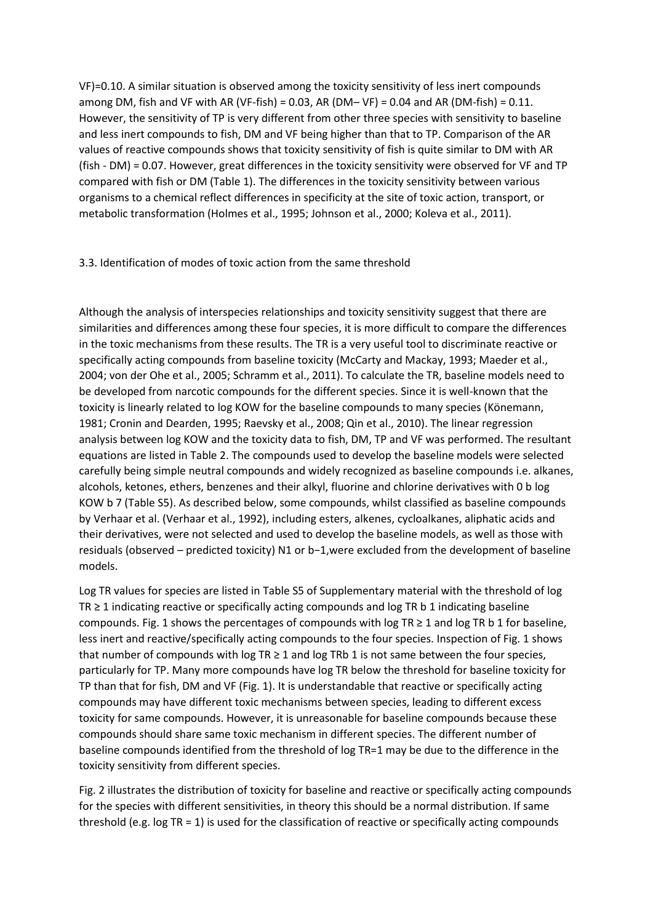VF)=0.10. A similar situation is observed among the toxicity sensitivity of less inert compounds among DM, fish and VF with AR (VF-fish) = 0.03, AR (DM-VF) = 0.04 and AR (DM-fish) = 0.11. However, the sensitivity of TP is very different from other three species with sensitivity to baseline and less inert compounds to fish, DM and VF being higher than that to TP. Comparison of the AR values of reactive compounds shows that toxicity sensitivity of fish is quite similar to DM with AR (fish - DM) = 0.07. However, great differences in the toxicity sensitivity were observed for VF and TP compared with fish or DM (Table 1). The differences in the toxicity sensitivity between various organisms to a chemical reflect differences in specificity at the site of toxic action, transport, or metabolic transformation (Holmes et al., 1995; Johnson et al., 2000; Koleva et al., 2011).

# 3.3. Identification of modes of toxic action from the same threshold

Although the analysis of interspecies relationships and toxicity sensitivity suggest that there are similarities and differences among these four species, it is more difficult to compare the differences in the toxic mechanisms from these results. The TR is a very useful tool to discriminate reactive or specifically acting compounds from baseline toxicity (McCarty and Mackay, 1993; Maeder et al., 2004; von der Ohe et al., 2005; Schramm et al., 2011). To calculate the TR, baseline models need to be developed from narcotic compounds for the different species. Since it is well-known that the toxicity is linearly related to log KOW for the baseline compounds to many species (Könemann, 1981; Cronin and Dearden, 1995; Raevsky et al., 2008; Qin et al., 2010). The linear regression analysis between log KOW and the toxicity data to fish, DM, TP and VF was performed. The resultant equations are listed in Table 2. The compounds used to develop the baseline models were selected carefully being simple neutral compounds and widely recognized as baseline compounds i.e. alkanes, alcohols, ketones, ethers, benzenes and their alkyl, fluorine and chlorine derivatives with 0 b log KOW b 7 (Table S5). As described below, some compounds, whilst classified as baseline compounds by Verhaar et al. (Verhaar et al., 1992), including esters, alkenes, cycloalkanes, aliphatic acids and their derivatives, were not selected and used to develop the baseline models, as well as those with residuals (observed – predicted toxicity) N1 or b−1,were excluded from the development of baseline models.

Log TR values for species are listed in Table S5 of Supplementary material with the threshold of log TR  $\geq$  1 indicating reactive or specifically acting compounds and log TR b 1 indicating baseline compounds. Fig. 1 shows the percentages of compounds with log TR  $\geq$  1 and log TR b 1 for baseline, less inert and reactive/specifically acting compounds to the four species. Inspection of Fig. 1 shows that number of compounds with log TR  $\geq 1$  and log TRb 1 is not same between the four species, particularly for TP. Many more compounds have log TR below the threshold for baseline toxicity for TP than that for fish, DM and VF (Fig. 1). It is understandable that reactive or specifically acting compounds may have different toxic mechanisms between species, leading to different excess toxicity for same compounds. However, it is unreasonable for baseline compounds because these compounds should share same toxic mechanism in different species. The different number of baseline compounds identified from the threshold of log TR=1 may be due to the difference in the toxicity sensitivity from different species.

Fig. 2 illustrates the distribution of toxicity for baseline and reactive or specifically acting compounds for the species with different sensitivities, in theory this should be a normal distribution. If same threshold (e.g. log TR = 1) is used for the classification of reactive or specifically acting compounds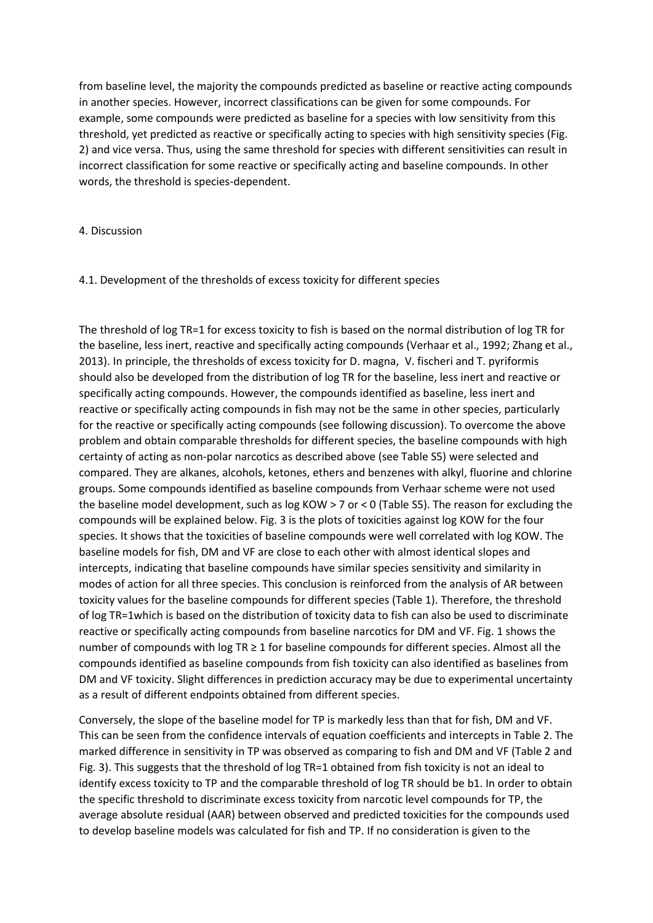from baseline level, the majority the compounds predicted as baseline or reactive acting compounds in another species. However, incorrect classifications can be given for some compounds. For example, some compounds were predicted as baseline for a species with low sensitivity from this threshold, yet predicted as reactive or specifically acting to species with high sensitivity species (Fig. 2) and vice versa. Thus, using the same threshold for species with different sensitivities can result in incorrect classification for some reactive or specifically acting and baseline compounds. In other words, the threshold is species-dependent.

#### 4. Discussion

#### 4.1. Development of the thresholds of excess toxicity for different species

The threshold of log TR=1 for excess toxicity to fish is based on the normal distribution of log TR for the baseline, less inert, reactive and specifically acting compounds (Verhaar et al., 1992; Zhang et al., 2013). In principle, the thresholds of excess toxicity for D. magna, V. fischeri and T. pyriformis should also be developed from the distribution of log TR for the baseline, less inert and reactive or specifically acting compounds. However, the compounds identified as baseline, less inert and reactive or specifically acting compounds in fish may not be the same in other species, particularly for the reactive or specifically acting compounds (see following discussion). To overcome the above problem and obtain comparable thresholds for different species, the baseline compounds with high certainty of acting as non-polar narcotics as described above (see Table S5) were selected and compared. They are alkanes, alcohols, ketones, ethers and benzenes with alkyl, fluorine and chlorine groups. Some compounds identified as baseline compounds from Verhaar scheme were not used the baseline model development, such as log KOW > 7 or < 0 (Table S5). The reason for excluding the compounds will be explained below. Fig. 3 is the plots of toxicities against log KOW for the four species. It shows that the toxicities of baseline compounds were well correlated with log KOW. The baseline models for fish, DM and VF are close to each other with almost identical slopes and intercepts, indicating that baseline compounds have similar species sensitivity and similarity in modes of action for all three species. This conclusion is reinforced from the analysis of AR between toxicity values for the baseline compounds for different species (Table 1). Therefore, the threshold of log TR=1which is based on the distribution of toxicity data to fish can also be used to discriminate reactive or specifically acting compounds from baseline narcotics for DM and VF. Fig. 1 shows the number of compounds with log TR ≥ 1 for baseline compounds for different species. Almost all the compounds identified as baseline compounds from fish toxicity can also identified as baselines from DM and VF toxicity. Slight differences in prediction accuracy may be due to experimental uncertainty as a result of different endpoints obtained from different species.

Conversely, the slope of the baseline model for TP is markedly less than that for fish, DM and VF. This can be seen from the confidence intervals of equation coefficients and intercepts in Table 2. The marked difference in sensitivity in TP was observed as comparing to fish and DM and VF (Table 2 and Fig. 3). This suggests that the threshold of log TR=1 obtained from fish toxicity is not an ideal to identify excess toxicity to TP and the comparable threshold of log TR should be b1. In order to obtain the specific threshold to discriminate excess toxicity from narcotic level compounds for TP, the average absolute residual (AAR) between observed and predicted toxicities for the compounds used to develop baseline models was calculated for fish and TP. If no consideration is given to the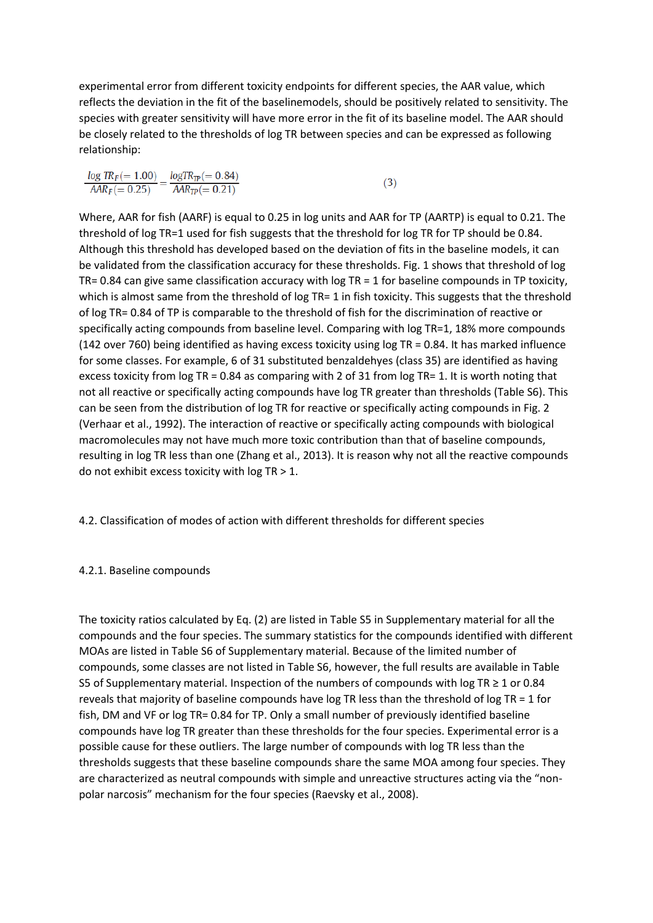experimental error from different toxicity endpoints for different species, the AAR value, which reflects the deviation in the fit of the baselinemodels, should be positively related to sensitivity. The species with greater sensitivity will have more error in the fit of its baseline model. The AAR should be closely related to the thresholds of log TR between species and can be expressed as following relationship:

 $\frac{\log TR_F (= 1.00)}{AAR_F (= 0.25)} = \frac{\log TR_T (= 0.84)}{AAR_{TP} (= 0.21)}$  $(3)$ 

Where, AAR for fish (AARF) is equal to 0.25 in log units and AAR for TP (AARTP) is equal to 0.21. The threshold of log TR=1 used for fish suggests that the threshold for log TR for TP should be 0.84. Although this threshold has developed based on the deviation of fits in the baseline models, it can be validated from the classification accuracy for these thresholds. Fig. 1 shows that threshold of log TR= 0.84 can give same classification accuracy with log TR = 1 for baseline compounds in TP toxicity, which is almost same from the threshold of log TR= 1 in fish toxicity. This suggests that the threshold of log TR= 0.84 of TP is comparable to the threshold of fish for the discrimination of reactive or specifically acting compounds from baseline level. Comparing with log TR=1, 18% more compounds (142 over 760) being identified as having excess toxicity using log TR = 0.84. It has marked influence for some classes. For example, 6 of 31 substituted benzaldehyes (class 35) are identified as having excess toxicity from log TR = 0.84 as comparing with 2 of 31 from log TR= 1. It is worth noting that not all reactive or specifically acting compounds have log TR greater than thresholds (Table S6). This can be seen from the distribution of log TR for reactive or specifically acting compounds in Fig. 2 (Verhaar et al., 1992). The interaction of reactive or specifically acting compounds with biological macromolecules may not have much more toxic contribution than that of baseline compounds, resulting in log TR less than one (Zhang et al., 2013). It is reason why not all the reactive compounds do not exhibit excess toxicity with log TR > 1.

4.2. Classification of modes of action with different thresholds for different species

# 4.2.1. Baseline compounds

The toxicity ratios calculated by Eq. (2) are listed in Table S5 in Supplementary material for all the compounds and the four species. The summary statistics for the compounds identified with different MOAs are listed in Table S6 of Supplementary material. Because of the limited number of compounds, some classes are not listed in Table S6, however, the full results are available in Table S5 of Supplementary material. Inspection of the numbers of compounds with log TR ≥ 1 or 0.84 reveals that majority of baseline compounds have log TR less than the threshold of log TR = 1 for fish, DM and VF or log TR= 0.84 for TP. Only a small number of previously identified baseline compounds have log TR greater than these thresholds for the four species. Experimental error is a possible cause for these outliers. The large number of compounds with log TR less than the thresholds suggests that these baseline compounds share the same MOA among four species. They are characterized as neutral compounds with simple and unreactive structures acting via the "nonpolar narcosis" mechanism for the four species (Raevsky et al., 2008).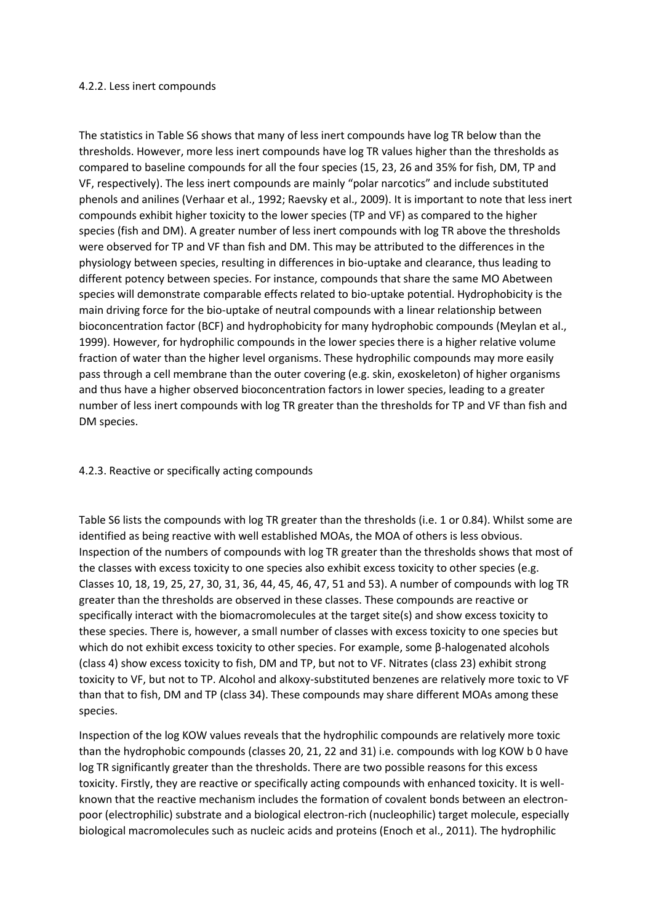#### 4.2.2. Less inert compounds

The statistics in Table S6 shows that many of less inert compounds have log TR below than the thresholds. However, more less inert compounds have log TR values higher than the thresholds as compared to baseline compounds for all the four species (15, 23, 26 and 35% for fish, DM, TP and VF, respectively). The less inert compounds are mainly "polar narcotics" and include substituted phenols and anilines (Verhaar et al., 1992; Raevsky et al., 2009). It is important to note that less inert compounds exhibit higher toxicity to the lower species (TP and VF) as compared to the higher species (fish and DM). A greater number of less inert compounds with log TR above the thresholds were observed for TP and VF than fish and DM. This may be attributed to the differences in the physiology between species, resulting in differences in bio-uptake and clearance, thus leading to different potency between species. For instance, compounds that share the same MO Abetween species will demonstrate comparable effects related to bio-uptake potential. Hydrophobicity is the main driving force for the bio-uptake of neutral compounds with a linear relationship between bioconcentration factor (BCF) and hydrophobicity for many hydrophobic compounds (Meylan et al., 1999). However, for hydrophilic compounds in the lower species there is a higher relative volume fraction of water than the higher level organisms. These hydrophilic compounds may more easily pass through a cell membrane than the outer covering (e.g. skin, exoskeleton) of higher organisms and thus have a higher observed bioconcentration factors in lower species, leading to a greater number of less inert compounds with log TR greater than the thresholds for TP and VF than fish and DM species.

# 4.2.3. Reactive or specifically acting compounds

Table S6 lists the compounds with log TR greater than the thresholds (i.e. 1 or 0.84). Whilst some are identified as being reactive with well established MOAs, the MOA of others is less obvious. Inspection of the numbers of compounds with log TR greater than the thresholds shows that most of the classes with excess toxicity to one species also exhibit excess toxicity to other species (e.g. Classes 10, 18, 19, 25, 27, 30, 31, 36, 44, 45, 46, 47, 51 and 53). A number of compounds with log TR greater than the thresholds are observed in these classes. These compounds are reactive or specifically interact with the biomacromolecules at the target site(s) and show excess toxicity to these species. There is, however, a small number of classes with excess toxicity to one species but which do not exhibit excess toxicity to other species. For example, some β-halogenated alcohols (class 4) show excess toxicity to fish, DM and TP, but not to VF. Nitrates (class 23) exhibit strong toxicity to VF, but not to TP. Alcohol and alkoxy-substituted benzenes are relatively more toxic to VF than that to fish, DM and TP (class 34). These compounds may share different MOAs among these species.

Inspection of the log KOW values reveals that the hydrophilic compounds are relatively more toxic than the hydrophobic compounds (classes 20, 21, 22 and 31) i.e. compounds with log KOW b 0 have log TR significantly greater than the thresholds. There are two possible reasons for this excess toxicity. Firstly, they are reactive or specifically acting compounds with enhanced toxicity. It is wellknown that the reactive mechanism includes the formation of covalent bonds between an electronpoor (electrophilic) substrate and a biological electron-rich (nucleophilic) target molecule, especially biological macromolecules such as nucleic acids and proteins (Enoch et al., 2011). The hydrophilic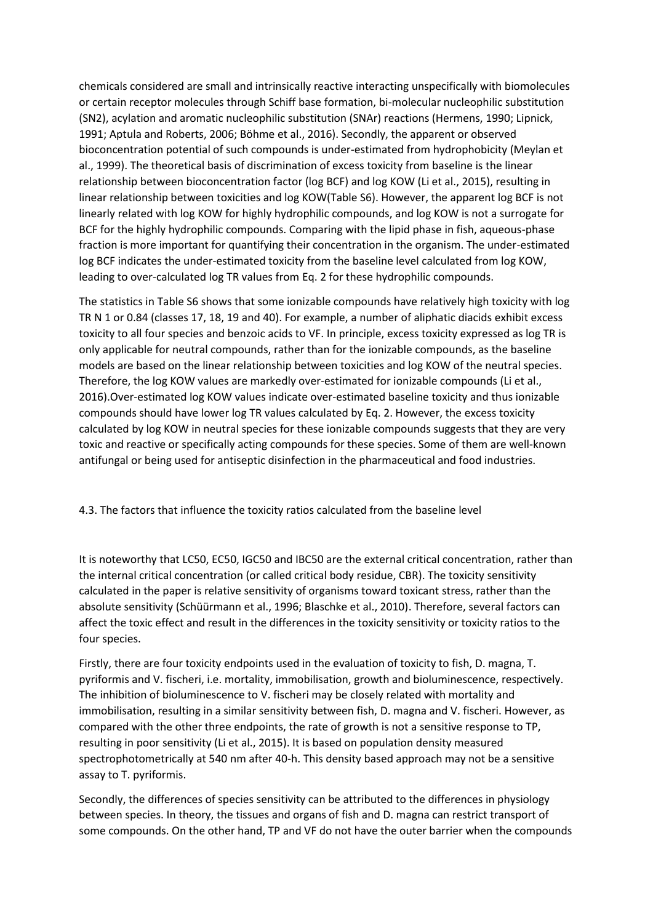chemicals considered are small and intrinsically reactive interacting unspecifically with biomolecules or certain receptor molecules through Schiff base formation, bi-molecular nucleophilic substitution (SN2), acylation and aromatic nucleophilic substitution (SNAr) reactions (Hermens, 1990; Lipnick, 1991; Aptula and Roberts, 2006; Böhme et al., 2016). Secondly, the apparent or observed bioconcentration potential of such compounds is under-estimated from hydrophobicity (Meylan et al., 1999). The theoretical basis of discrimination of excess toxicity from baseline is the linear relationship between bioconcentration factor (log BCF) and log KOW (Li et al., 2015), resulting in linear relationship between toxicities and log KOW(Table S6). However, the apparent log BCF is not linearly related with log KOW for highly hydrophilic compounds, and log KOW is not a surrogate for BCF for the highly hydrophilic compounds. Comparing with the lipid phase in fish, aqueous-phase fraction is more important for quantifying their concentration in the organism. The under-estimated log BCF indicates the under-estimated toxicity from the baseline level calculated from log KOW, leading to over-calculated log TR values from Eq. 2 for these hydrophilic compounds.

The statistics in Table S6 shows that some ionizable compounds have relatively high toxicity with log TR N 1 or 0.84 (classes 17, 18, 19 and 40). For example, a number of aliphatic diacids exhibit excess toxicity to all four species and benzoic acids to VF. In principle, excess toxicity expressed as log TR is only applicable for neutral compounds, rather than for the ionizable compounds, as the baseline models are based on the linear relationship between toxicities and log KOW of the neutral species. Therefore, the log KOW values are markedly over-estimated for ionizable compounds (Li et al., 2016).Over-estimated log KOW values indicate over-estimated baseline toxicity and thus ionizable compounds should have lower log TR values calculated by Eq. 2. However, the excess toxicity calculated by log KOW in neutral species for these ionizable compounds suggests that they are very toxic and reactive or specifically acting compounds for these species. Some of them are well-known antifungal or being used for antiseptic disinfection in the pharmaceutical and food industries.

# 4.3. The factors that influence the toxicity ratios calculated from the baseline level

It is noteworthy that LC50, EC50, IGC50 and IBC50 are the external critical concentration, rather than the internal critical concentration (or called critical body residue, CBR). The toxicity sensitivity calculated in the paper is relative sensitivity of organisms toward toxicant stress, rather than the absolute sensitivity (Schüürmann et al., 1996; Blaschke et al., 2010). Therefore, several factors can affect the toxic effect and result in the differences in the toxicity sensitivity or toxicity ratios to the four species.

Firstly, there are four toxicity endpoints used in the evaluation of toxicity to fish, D. magna, T. pyriformis and V. fischeri, i.e. mortality, immobilisation, growth and bioluminescence, respectively. The inhibition of bioluminescence to V. fischeri may be closely related with mortality and immobilisation, resulting in a similar sensitivity between fish, D. magna and V. fischeri. However, as compared with the other three endpoints, the rate of growth is not a sensitive response to TP, resulting in poor sensitivity (Li et al., 2015). It is based on population density measured spectrophotometrically at 540 nm after 40-h. This density based approach may not be a sensitive assay to T. pyriformis.

Secondly, the differences of species sensitivity can be attributed to the differences in physiology between species. In theory, the tissues and organs of fish and D. magna can restrict transport of some compounds. On the other hand, TP and VF do not have the outer barrier when the compounds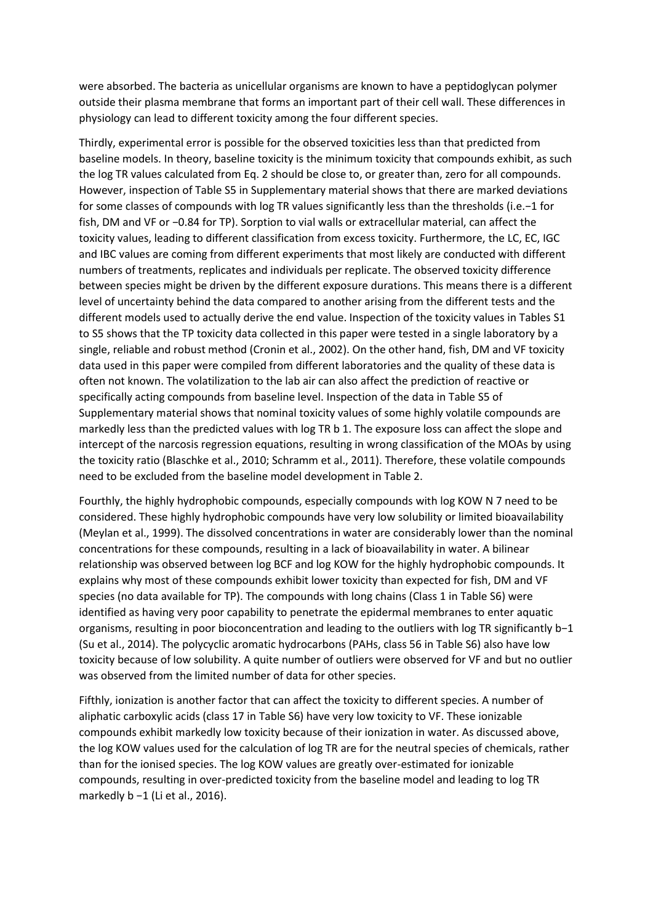were absorbed. The bacteria as unicellular organisms are known to have a peptidoglycan polymer outside their plasma membrane that forms an important part of their cell wall. These differences in physiology can lead to different toxicity among the four different species.

Thirdly, experimental error is possible for the observed toxicities less than that predicted from baseline models. In theory, baseline toxicity is the minimum toxicity that compounds exhibit, as such the log TR values calculated from Eq. 2 should be close to, or greater than, zero for all compounds. However, inspection of Table S5 in Supplementary material shows that there are marked deviations for some classes of compounds with log TR values significantly less than the thresholds (i.e.−1 for fish, DM and VF or −0.84 for TP). Sorption to vial walls or extracellular material, can affect the toxicity values, leading to different classification from excess toxicity. Furthermore, the LC, EC, IGC and IBC values are coming from different experiments that most likely are conducted with different numbers of treatments, replicates and individuals per replicate. The observed toxicity difference between species might be driven by the different exposure durations. This means there is a different level of uncertainty behind the data compared to another arising from the different tests and the different models used to actually derive the end value. Inspection of the toxicity values in Tables S1 to S5 shows that the TP toxicity data collected in this paper were tested in a single laboratory by a single, reliable and robust method (Cronin et al., 2002). On the other hand, fish, DM and VF toxicity data used in this paper were compiled from different laboratories and the quality of these data is often not known. The volatilization to the lab air can also affect the prediction of reactive or specifically acting compounds from baseline level. Inspection of the data in Table S5 of Supplementary material shows that nominal toxicity values of some highly volatile compounds are markedly less than the predicted values with log TR b 1. The exposure loss can affect the slope and intercept of the narcosis regression equations, resulting in wrong classification of the MOAs by using the toxicity ratio (Blaschke et al., 2010; Schramm et al., 2011). Therefore, these volatile compounds need to be excluded from the baseline model development in Table 2.

Fourthly, the highly hydrophobic compounds, especially compounds with log KOW N 7 need to be considered. These highly hydrophobic compounds have very low solubility or limited bioavailability (Meylan et al., 1999). The dissolved concentrations in water are considerably lower than the nominal concentrations for these compounds, resulting in a lack of bioavailability in water. A bilinear relationship was observed between log BCF and log KOW for the highly hydrophobic compounds. It explains why most of these compounds exhibit lower toxicity than expected for fish, DM and VF species (no data available for TP). The compounds with long chains (Class 1 in Table S6) were identified as having very poor capability to penetrate the epidermal membranes to enter aquatic organisms, resulting in poor bioconcentration and leading to the outliers with log TR significantly b−1 (Su et al., 2014). The polycyclic aromatic hydrocarbons (PAHs, class 56 in Table S6) also have low toxicity because of low solubility. A quite number of outliers were observed for VF and but no outlier was observed from the limited number of data for other species.

Fifthly, ionization is another factor that can affect the toxicity to different species. A number of aliphatic carboxylic acids (class 17 in Table S6) have very low toxicity to VF. These ionizable compounds exhibit markedly low toxicity because of their ionization in water. As discussed above, the log KOW values used for the calculation of log TR are for the neutral species of chemicals, rather than for the ionised species. The log KOW values are greatly over-estimated for ionizable compounds, resulting in over-predicted toxicity from the baseline model and leading to log TR markedly b −1 (Li et al., 2016).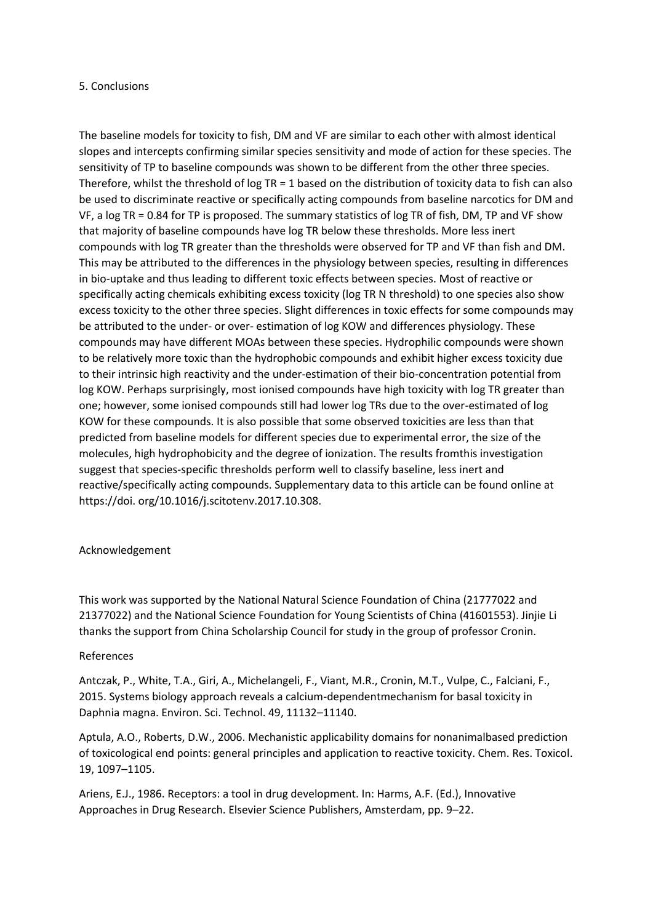#### 5. Conclusions

The baseline models for toxicity to fish, DM and VF are similar to each other with almost identical slopes and intercepts confirming similar species sensitivity and mode of action for these species. The sensitivity of TP to baseline compounds was shown to be different from the other three species. Therefore, whilst the threshold of log TR = 1 based on the distribution of toxicity data to fish can also be used to discriminate reactive or specifically acting compounds from baseline narcotics for DM and VF, a log TR = 0.84 for TP is proposed. The summary statistics of log TR of fish, DM, TP and VF show that majority of baseline compounds have log TR below these thresholds. More less inert compounds with log TR greater than the thresholds were observed for TP and VF than fish and DM. This may be attributed to the differences in the physiology between species, resulting in differences in bio-uptake and thus leading to different toxic effects between species. Most of reactive or specifically acting chemicals exhibiting excess toxicity (log TR N threshold) to one species also show excess toxicity to the other three species. Slight differences in toxic effects for some compounds may be attributed to the under- or over- estimation of log KOW and differences physiology. These compounds may have different MOAs between these species. Hydrophilic compounds were shown to be relatively more toxic than the hydrophobic compounds and exhibit higher excess toxicity due to their intrinsic high reactivity and the under-estimation of their bio-concentration potential from log KOW. Perhaps surprisingly, most ionised compounds have high toxicity with log TR greater than one; however, some ionised compounds still had lower log TRs due to the over-estimated of log KOW for these compounds. It is also possible that some observed toxicities are less than that predicted from baseline models for different species due to experimental error, the size of the molecules, high hydrophobicity and the degree of ionization. The results fromthis investigation suggest that species-specific thresholds perform well to classify baseline, less inert and reactive/specifically acting compounds. Supplementary data to this article can be found online at https://doi. org/10.1016/j.scitotenv.2017.10.308.

# Acknowledgement

This work was supported by the National Natural Science Foundation of China (21777022 and 21377022) and the National Science Foundation for Young Scientists of China (41601553). Jinjie Li thanks the support from China Scholarship Council for study in the group of professor Cronin.

# References

Antczak, P., White, T.A., Giri, A., Michelangeli, F., Viant, M.R., Cronin, M.T., Vulpe, C., Falciani, F., 2015. Systems biology approach reveals a calcium-dependentmechanism for basal toxicity in Daphnia magna. Environ. Sci. Technol. 49, 11132–11140.

Aptula, A.O., Roberts, D.W., 2006. Mechanistic applicability domains for nonanimalbased prediction of toxicological end points: general principles and application to reactive toxicity. Chem. Res. Toxicol. 19, 1097–1105.

Ariens, E.J., 1986. Receptors: a tool in drug development. In: Harms, A.F. (Ed.), Innovative Approaches in Drug Research. Elsevier Science Publishers, Amsterdam, pp. 9–22.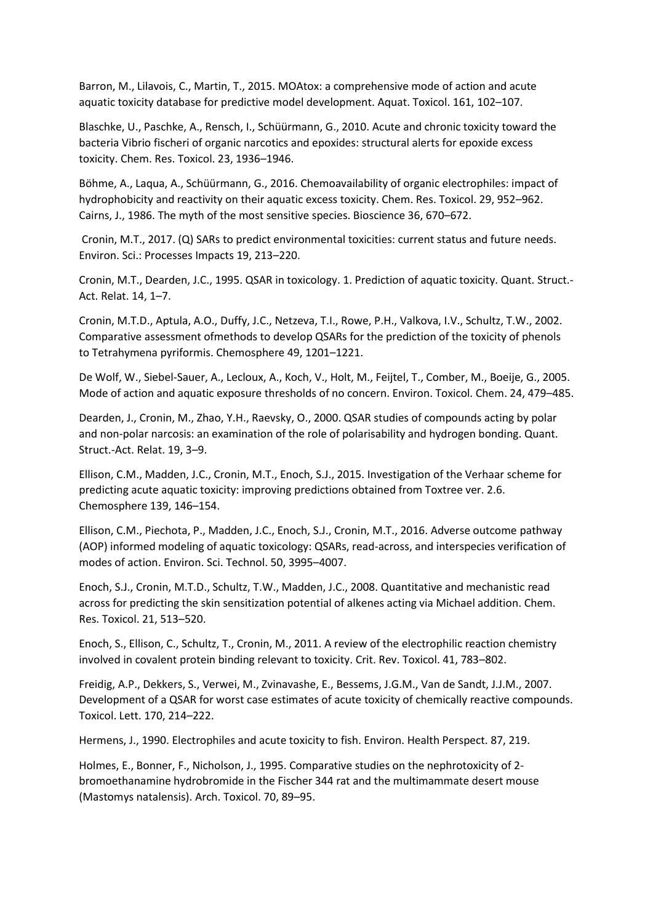Barron, M., Lilavois, C., Martin, T., 2015. MOAtox: a comprehensive mode of action and acute aquatic toxicity database for predictive model development. Aquat. Toxicol. 161, 102–107.

Blaschke, U., Paschke, A., Rensch, I., Schüürmann, G., 2010. Acute and chronic toxicity toward the bacteria Vibrio fischeri of organic narcotics and epoxides: structural alerts for epoxide excess toxicity. Chem. Res. Toxicol. 23, 1936–1946.

Böhme, A., Laqua, A., Schüürmann, G., 2016. Chemoavailability of organic electrophiles: impact of hydrophobicity and reactivity on their aquatic excess toxicity. Chem. Res. Toxicol. 29, 952–962. Cairns, J., 1986. The myth of the most sensitive species. Bioscience 36, 670–672.

Cronin, M.T., 2017. (Q) SARs to predict environmental toxicities: current status and future needs. Environ. Sci.: Processes Impacts 19, 213–220.

Cronin, M.T., Dearden, J.C., 1995. QSAR in toxicology. 1. Prediction of aquatic toxicity. Quant. Struct.- Act. Relat. 14, 1–7.

Cronin, M.T.D., Aptula, A.O., Duffy, J.C., Netzeva, T.I., Rowe, P.H., Valkova, I.V., Schultz, T.W., 2002. Comparative assessment ofmethods to develop QSARs for the prediction of the toxicity of phenols to Tetrahymena pyriformis. Chemosphere 49, 1201–1221.

De Wolf, W., Siebel-Sauer, A., Lecloux, A., Koch, V., Holt, M., Feijtel, T., Comber, M., Boeije, G., 2005. Mode of action and aquatic exposure thresholds of no concern. Environ. Toxicol. Chem. 24, 479–485.

Dearden, J., Cronin, M., Zhao, Y.H., Raevsky, O., 2000. QSAR studies of compounds acting by polar and non-polar narcosis: an examination of the role of polarisability and hydrogen bonding. Quant. Struct.-Act. Relat. 19, 3–9.

Ellison, C.M., Madden, J.C., Cronin, M.T., Enoch, S.J., 2015. Investigation of the Verhaar scheme for predicting acute aquatic toxicity: improving predictions obtained from Toxtree ver. 2.6. Chemosphere 139, 146–154.

Ellison, C.M., Piechota, P., Madden, J.C., Enoch, S.J., Cronin, M.T., 2016. Adverse outcome pathway (AOP) informed modeling of aquatic toxicology: QSARs, read-across, and interspecies verification of modes of action. Environ. Sci. Technol. 50, 3995–4007.

Enoch, S.J., Cronin, M.T.D., Schultz, T.W., Madden, J.C., 2008. Quantitative and mechanistic read across for predicting the skin sensitization potential of alkenes acting via Michael addition. Chem. Res. Toxicol. 21, 513–520.

Enoch, S., Ellison, C., Schultz, T., Cronin, M., 2011. A review of the electrophilic reaction chemistry involved in covalent protein binding relevant to toxicity. Crit. Rev. Toxicol. 41, 783–802.

Freidig, A.P., Dekkers, S., Verwei, M., Zvinavashe, E., Bessems, J.G.M., Van de Sandt, J.J.M., 2007. Development of a QSAR for worst case estimates of acute toxicity of chemically reactive compounds. Toxicol. Lett. 170, 214–222.

Hermens, J., 1990. Electrophiles and acute toxicity to fish. Environ. Health Perspect. 87, 219.

Holmes, E., Bonner, F., Nicholson, J., 1995. Comparative studies on the nephrotoxicity of 2 bromoethanamine hydrobromide in the Fischer 344 rat and the multimammate desert mouse (Mastomys natalensis). Arch. Toxicol. 70, 89–95.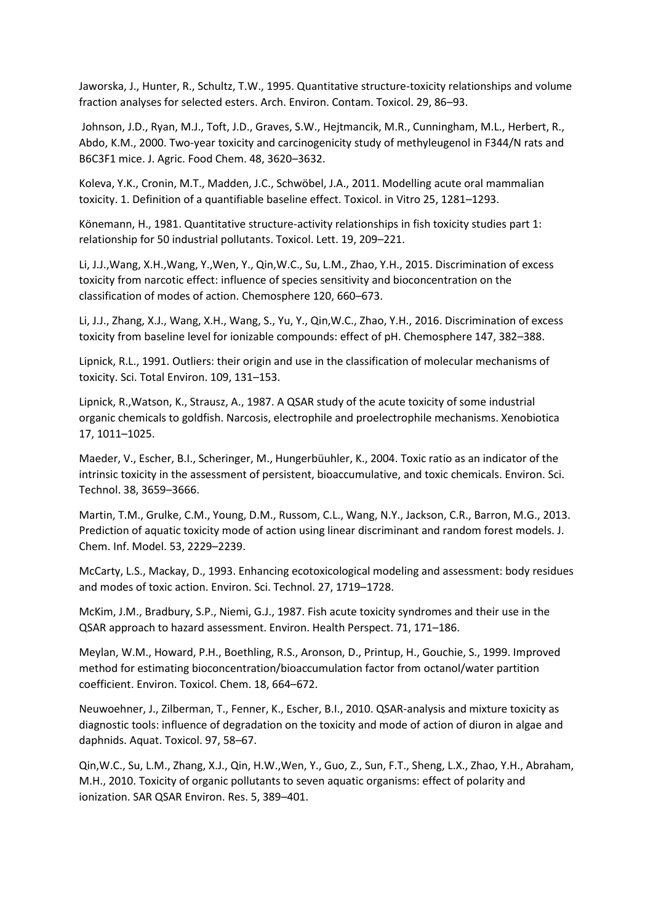Jaworska, J., Hunter, R., Schultz, T.W., 1995. Quantitative structure-toxicity relationships and volume fraction analyses for selected esters. Arch. Environ. Contam. Toxicol. 29, 86–93.

Johnson, J.D., Ryan, M.J., Toft, J.D., Graves, S.W., Hejtmancik, M.R., Cunningham, M.L., Herbert, R., Abdo, K.M., 2000. Two-year toxicity and carcinogenicity study of methyleugenol in F344/N rats and B6C3F1 mice. J. Agric. Food Chem. 48, 3620–3632.

Koleva, Y.K., Cronin, M.T., Madden, J.C., Schwöbel, J.A., 2011. Modelling acute oral mammalian toxicity. 1. Definition of a quantifiable baseline effect. Toxicol. in Vitro 25, 1281–1293.

Könemann, H., 1981. Quantitative structure-activity relationships in fish toxicity studies part 1: relationship for 50 industrial pollutants. Toxicol. Lett. 19, 209–221.

Li, J.J.,Wang, X.H.,Wang, Y.,Wen, Y., Qin,W.C., Su, L.M., Zhao, Y.H., 2015. Discrimination of excess toxicity from narcotic effect: influence of species sensitivity and bioconcentration on the classification of modes of action. Chemosphere 120, 660–673.

Li, J.J., Zhang, X.J., Wang, X.H., Wang, S., Yu, Y., Qin,W.C., Zhao, Y.H., 2016. Discrimination of excess toxicity from baseline level for ionizable compounds: effect of pH. Chemosphere 147, 382–388.

Lipnick, R.L., 1991. Outliers: their origin and use in the classification of molecular mechanisms of toxicity. Sci. Total Environ. 109, 131–153.

Lipnick, R.,Watson, K., Strausz, A., 1987. A QSAR study of the acute toxicity of some industrial organic chemicals to goldfish. Narcosis, electrophile and proelectrophile mechanisms. Xenobiotica 17, 1011–1025.

Maeder, V., Escher, B.I., Scheringer, M., Hungerbüuhler, K., 2004. Toxic ratio as an indicator of the intrinsic toxicity in the assessment of persistent, bioaccumulative, and toxic chemicals. Environ. Sci. Technol. 38, 3659–3666.

Martin, T.M., Grulke, C.M., Young, D.M., Russom, C.L., Wang, N.Y., Jackson, C.R., Barron, M.G., 2013. Prediction of aquatic toxicity mode of action using linear discriminant and random forest models. J. Chem. Inf. Model. 53, 2229–2239.

McCarty, L.S., Mackay, D., 1993. Enhancing ecotoxicological modeling and assessment: body residues and modes of toxic action. Environ. Sci. Technol. 27, 1719–1728.

McKim, J.M., Bradbury, S.P., Niemi, G.J., 1987. Fish acute toxicity syndromes and their use in the QSAR approach to hazard assessment. Environ. Health Perspect. 71, 171–186.

Meylan, W.M., Howard, P.H., Boethling, R.S., Aronson, D., Printup, H., Gouchie, S., 1999. Improved method for estimating bioconcentration/bioaccumulation factor from octanol/water partition coefficient. Environ. Toxicol. Chem. 18, 664–672.

Neuwoehner, J., Zilberman, T., Fenner, K., Escher, B.I., 2010. QSAR-analysis and mixture toxicity as diagnostic tools: influence of degradation on the toxicity and mode of action of diuron in algae and daphnids. Aquat. Toxicol. 97, 58–67.

Qin,W.C., Su, L.M., Zhang, X.J., Qin, H.W.,Wen, Y., Guo, Z., Sun, F.T., Sheng, L.X., Zhao, Y.H., Abraham, M.H., 2010. Toxicity of organic pollutants to seven aquatic organisms: effect of polarity and ionization. SAR QSAR Environ. Res. 5, 389–401.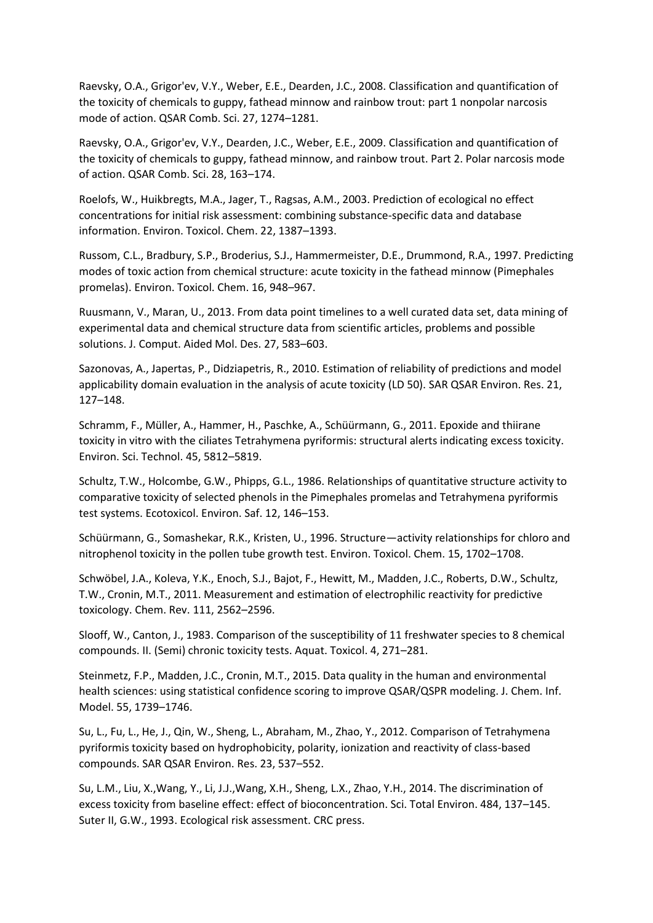Raevsky, O.A., Grigor'ev, V.Y., Weber, E.E., Dearden, J.C., 2008. Classification and quantification of the toxicity of chemicals to guppy, fathead minnow and rainbow trout: part 1 nonpolar narcosis mode of action. QSAR Comb. Sci. 27, 1274–1281.

Raevsky, O.A., Grigor'ev, V.Y., Dearden, J.C., Weber, E.E., 2009. Classification and quantification of the toxicity of chemicals to guppy, fathead minnow, and rainbow trout. Part 2. Polar narcosis mode of action. QSAR Comb. Sci. 28, 163–174.

Roelofs, W., Huikbregts, M.A., Jager, T., Ragsas, A.M., 2003. Prediction of ecological no effect concentrations for initial risk assessment: combining substance-specific data and database information. Environ. Toxicol. Chem. 22, 1387–1393.

Russom, C.L., Bradbury, S.P., Broderius, S.J., Hammermeister, D.E., Drummond, R.A., 1997. Predicting modes of toxic action from chemical structure: acute toxicity in the fathead minnow (Pimephales promelas). Environ. Toxicol. Chem. 16, 948–967.

Ruusmann, V., Maran, U., 2013. From data point timelines to a well curated data set, data mining of experimental data and chemical structure data from scientific articles, problems and possible solutions. J. Comput. Aided Mol. Des. 27, 583–603.

Sazonovas, A., Japertas, P., Didziapetris, R., 2010. Estimation of reliability of predictions and model applicability domain evaluation in the analysis of acute toxicity (LD 50). SAR QSAR Environ. Res. 21, 127–148.

Schramm, F., Müller, A., Hammer, H., Paschke, A., Schüürmann, G., 2011. Epoxide and thiirane toxicity in vitro with the ciliates Tetrahymena pyriformis: structural alerts indicating excess toxicity. Environ. Sci. Technol. 45, 5812–5819.

Schultz, T.W., Holcombe, G.W., Phipps, G.L., 1986. Relationships of quantitative structure activity to comparative toxicity of selected phenols in the Pimephales promelas and Tetrahymena pyriformis test systems. Ecotoxicol. Environ. Saf. 12, 146–153.

Schüürmann, G., Somashekar, R.K., Kristen, U., 1996. Structure—activity relationships for chloro and nitrophenol toxicity in the pollen tube growth test. Environ. Toxicol. Chem. 15, 1702–1708.

Schwöbel, J.A., Koleva, Y.K., Enoch, S.J., Bajot, F., Hewitt, M., Madden, J.C., Roberts, D.W., Schultz, T.W., Cronin, M.T., 2011. Measurement and estimation of electrophilic reactivity for predictive toxicology. Chem. Rev. 111, 2562–2596.

Slooff, W., Canton, J., 1983. Comparison of the susceptibility of 11 freshwater species to 8 chemical compounds. II. (Semi) chronic toxicity tests. Aquat. Toxicol. 4, 271–281.

Steinmetz, F.P., Madden, J.C., Cronin, M.T., 2015. Data quality in the human and environmental health sciences: using statistical confidence scoring to improve QSAR/QSPR modeling. J. Chem. Inf. Model. 55, 1739–1746.

Su, L., Fu, L., He, J., Qin, W., Sheng, L., Abraham, M., Zhao, Y., 2012. Comparison of Tetrahymena pyriformis toxicity based on hydrophobicity, polarity, ionization and reactivity of class-based compounds. SAR QSAR Environ. Res. 23, 537–552.

Su, L.M., Liu, X.,Wang, Y., Li, J.J.,Wang, X.H., Sheng, L.X., Zhao, Y.H., 2014. The discrimination of excess toxicity from baseline effect: effect of bioconcentration. Sci. Total Environ. 484, 137–145. Suter II, G.W., 1993. Ecological risk assessment. CRC press.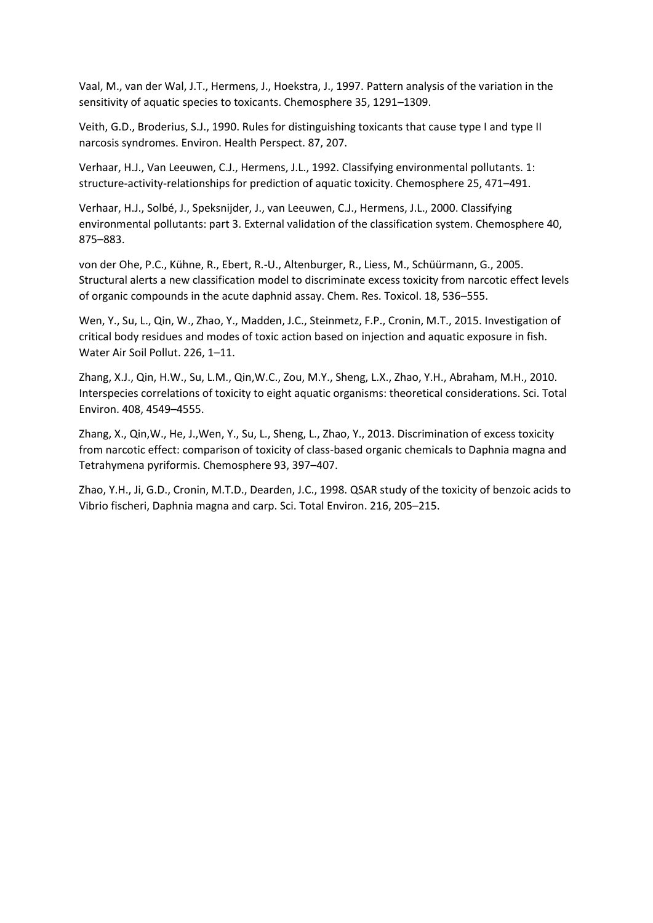Vaal, M., van der Wal, J.T., Hermens, J., Hoekstra, J., 1997. Pattern analysis of the variation in the sensitivity of aquatic species to toxicants. Chemosphere 35, 1291–1309.

Veith, G.D., Broderius, S.J., 1990. Rules for distinguishing toxicants that cause type I and type II narcosis syndromes. Environ. Health Perspect. 87, 207.

Verhaar, H.J., Van Leeuwen, C.J., Hermens, J.L., 1992. Classifying environmental pollutants. 1: structure-activity-relationships for prediction of aquatic toxicity. Chemosphere 25, 471–491.

Verhaar, H.J., Solbé, J., Speksnijder, J., van Leeuwen, C.J., Hermens, J.L., 2000. Classifying environmental pollutants: part 3. External validation of the classification system. Chemosphere 40, 875–883.

von der Ohe, P.C., Kühne, R., Ebert, R.-U., Altenburger, R., Liess, M., Schüürmann, G., 2005. Structural alerts a new classification model to discriminate excess toxicity from narcotic effect levels of organic compounds in the acute daphnid assay. Chem. Res. Toxicol. 18, 536–555.

Wen, Y., Su, L., Qin, W., Zhao, Y., Madden, J.C., Steinmetz, F.P., Cronin, M.T., 2015. Investigation of critical body residues and modes of toxic action based on injection and aquatic exposure in fish. Water Air Soil Pollut. 226, 1–11.

Zhang, X.J., Qin, H.W., Su, L.M., Qin,W.C., Zou, M.Y., Sheng, L.X., Zhao, Y.H., Abraham, M.H., 2010. Interspecies correlations of toxicity to eight aquatic organisms: theoretical considerations. Sci. Total Environ. 408, 4549–4555.

Zhang, X., Qin,W., He, J.,Wen, Y., Su, L., Sheng, L., Zhao, Y., 2013. Discrimination of excess toxicity from narcotic effect: comparison of toxicity of class-based organic chemicals to Daphnia magna and Tetrahymena pyriformis. Chemosphere 93, 397–407.

Zhao, Y.H., Ji, G.D., Cronin, M.T.D., Dearden, J.C., 1998. QSAR study of the toxicity of benzoic acids to Vibrio fischeri, Daphnia magna and carp. Sci. Total Environ. 216, 205–215.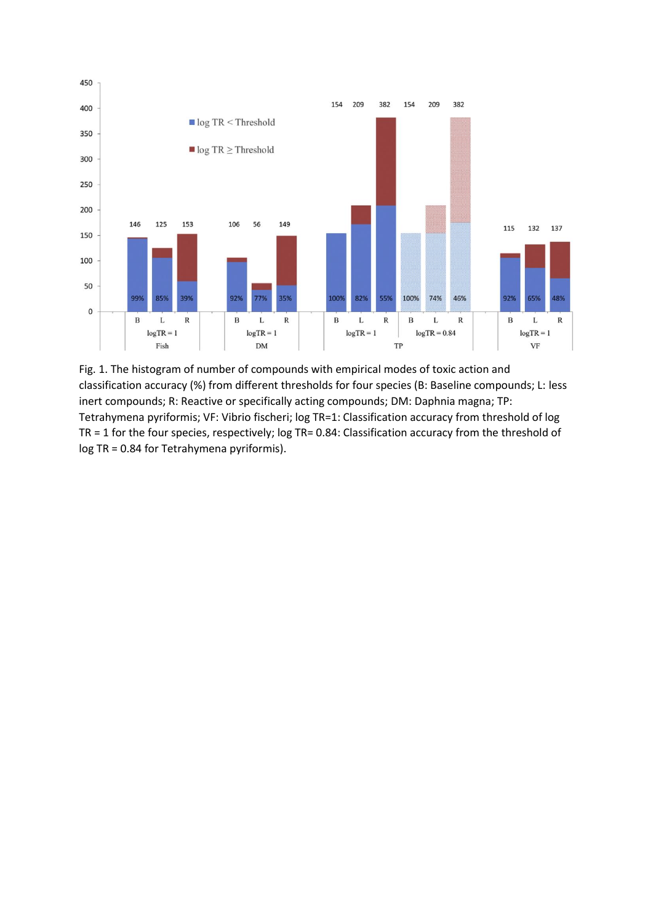

Fig. 1. The histogram of number of compounds with empirical modes of toxic action and classification accuracy (%) from different thresholds for four species (B: Baseline compounds; L: less inert compounds; R: Reactive or specifically acting compounds; DM: Daphnia magna; TP: Tetrahymena pyriformis; VF: Vibrio fischeri; log TR=1: Classification accuracy from threshold of log TR = 1 for the four species, respectively; log TR= 0.84: Classification accuracy from the threshold of log TR = 0.84 for Tetrahymena pyriformis).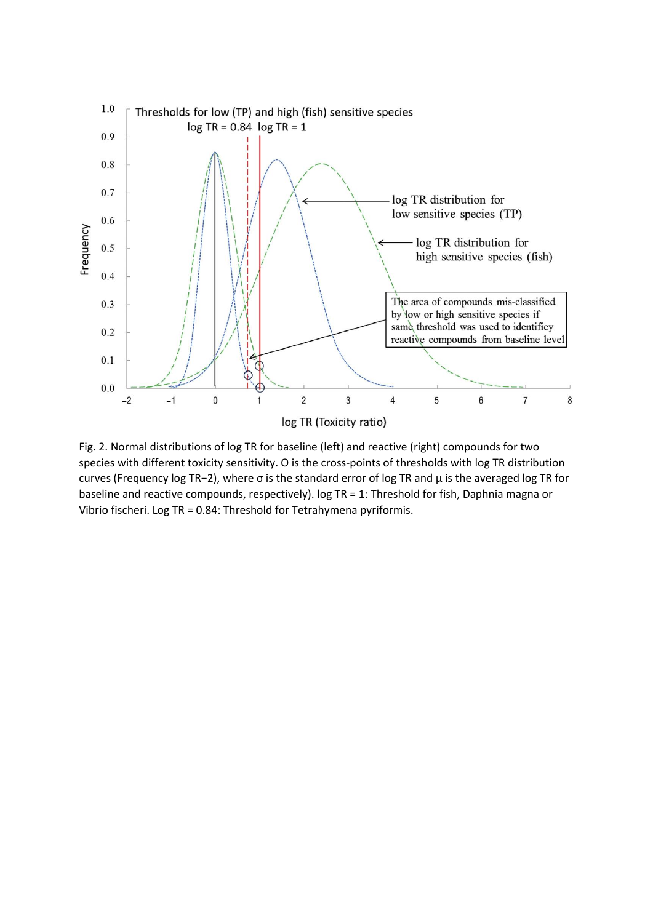

Fig. 2. Normal distributions of log TR for baseline (left) and reactive (right) compounds for two species with different toxicity sensitivity. O is the cross-points of thresholds with log TR distribution curves (Frequency log TR−2), where σ is the standard error of log TR and μ is the averaged log TR for baseline and reactive compounds, respectively). log TR = 1: Threshold for fish, Daphnia magna or Vibrio fischeri. Log TR = 0.84: Threshold for Tetrahymena pyriformis.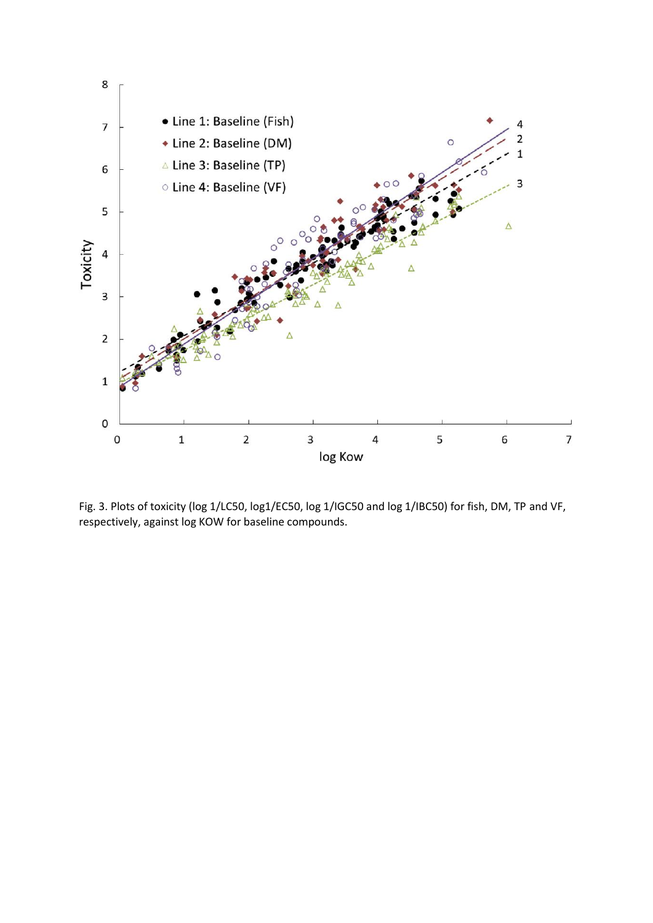

Fig. 3. Plots of toxicity (log 1/LC50, log1/EC50, log 1/IGC50 and log 1/IBC50) for fish, DM, TP and VF, respectively, against log KOW for baseline compounds.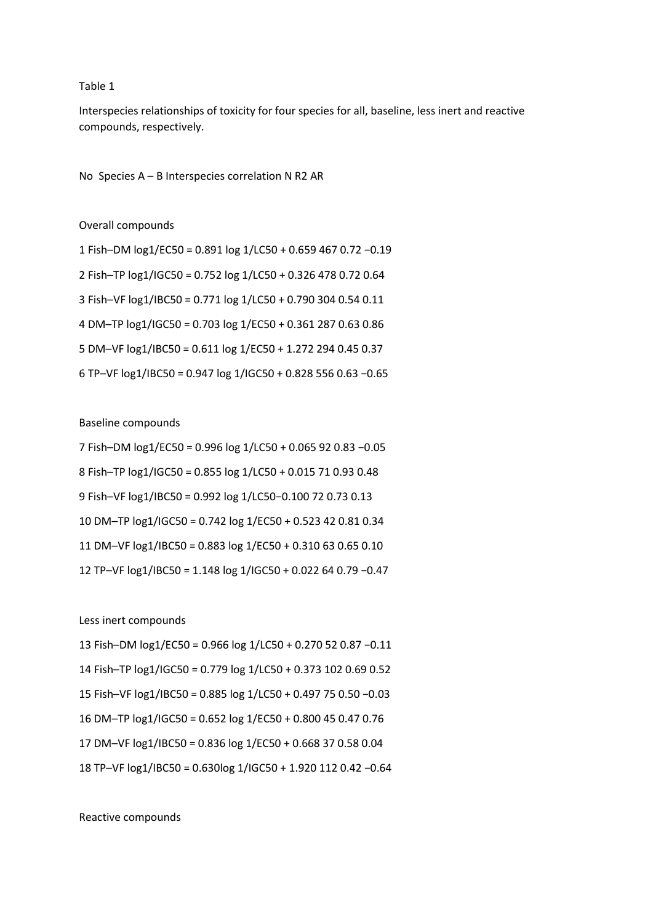#### Table 1

Interspecies relationships of toxicity for four species for all, baseline, less inert and reactive compounds, respectively.

#### No Species A – B Interspecies correlation N R2 AR

#### Overall compounds

1 Fish–DM log1/EC50 = 0.891 log 1/LC50 + 0.659 467 0.72 −0.19 2 Fish–TP log1/IGC50 = 0.752 log 1/LC50 + 0.326 478 0.72 0.64 3 Fish–VF log1/IBC50 = 0.771 log 1/LC50 + 0.790 304 0.54 0.11 4 DM–TP log1/IGC50 = 0.703 log 1/EC50 + 0.361 287 0.63 0.86 5 DM–VF log1/IBC50 = 0.611 log 1/EC50 + 1.272 294 0.45 0.37 6 TP–VF log1/IBC50 = 0.947 log 1/IGC50 + 0.828 556 0.63 −0.65

#### Baseline compounds

7 Fish–DM log1/EC50 = 0.996 log 1/LC50 + 0.065 92 0.83 −0.05 8 Fish–TP log1/IGC50 = 0.855 log 1/LC50 + 0.015 71 0.93 0.48 9 Fish–VF log1/IBC50 = 0.992 log 1/LC50−0.100 72 0.73 0.13 10 DM–TP log1/IGC50 = 0.742 log 1/EC50 + 0.523 42 0.81 0.34 11 DM–VF log1/IBC50 = 0.883 log 1/EC50 + 0.310 63 0.65 0.10 12 TP–VF log1/IBC50 = 1.148 log 1/IGC50 + 0.022 64 0.79 −0.47

Less inert compounds

13 Fish–DM log1/EC50 = 0.966 log 1/LC50 + 0.270 52 0.87 −0.11 14 Fish–TP log1/IGC50 = 0.779 log 1/LC50 + 0.373 102 0.69 0.52 15 Fish–VF log1/IBC50 = 0.885 log 1/LC50 + 0.497 75 0.50 −0.03 16 DM–TP log1/IGC50 = 0.652 log 1/EC50 + 0.800 45 0.47 0.76 17 DM–VF log1/IBC50 = 0.836 log 1/EC50 + 0.668 37 0.58 0.04 18 TP–VF log1/IBC50 = 0.630log 1/IGC50 + 1.920 112 0.42 −0.64

Reactive compounds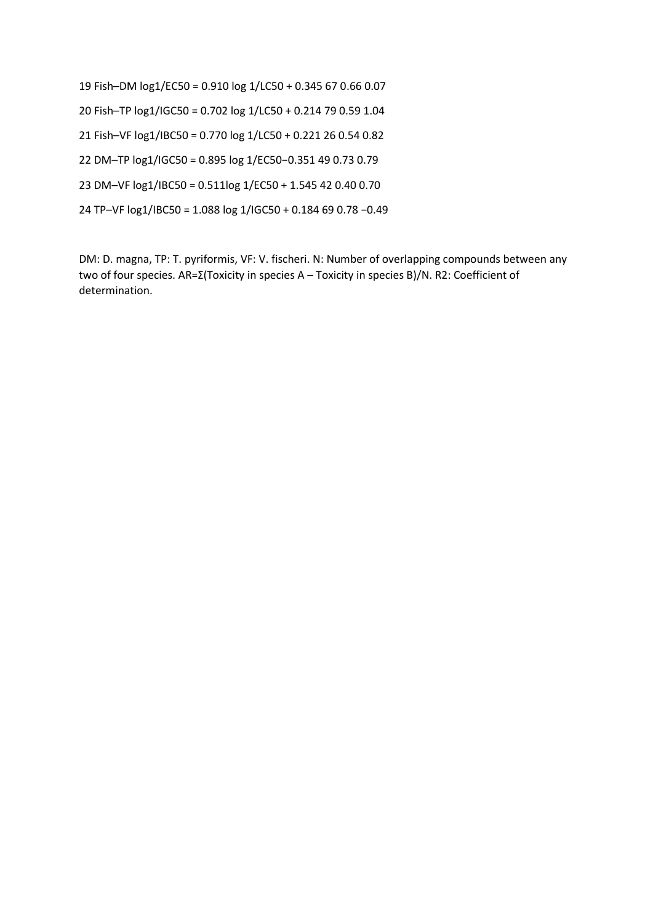19 Fish–DM log1/EC50 = 0.910 log 1/LC50 + 0.345 67 0.66 0.07 20 Fish–TP log1/IGC50 = 0.702 log 1/LC50 + 0.214 79 0.59 1.04 21 Fish–VF log1/IBC50 = 0.770 log 1/LC50 + 0.221 26 0.54 0.82 22 DM–TP log1/IGC50 = 0.895 log 1/EC50−0.351 49 0.73 0.79 23 DM–VF log1/IBC50 = 0.511log 1/EC50 + 1.545 42 0.40 0.70 24 TP–VF log1/IBC50 = 1.088 log 1/IGC50 + 0.184 69 0.78 −0.49

DM: D. magna, TP: T. pyriformis, VF: V. fischeri. N: Number of overlapping compounds between any two of four species. AR=Σ(Toxicity in species A – Toxicity in species B)/N. R2: Coefficient of determination.